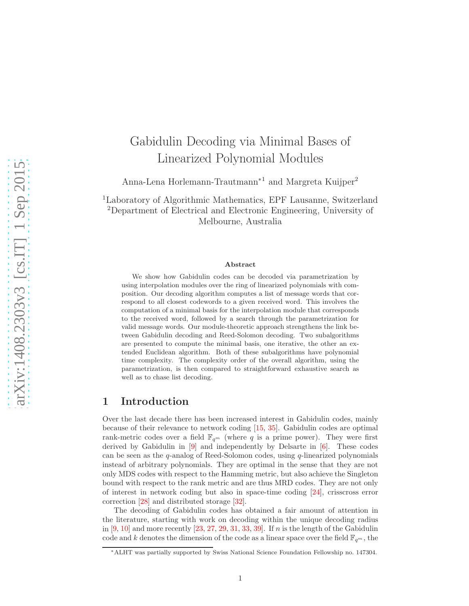# Gabidulin Decoding via Minimal Bases of Linearized Polynomial Modules

Anna-Lena Horlemann-Trautmann<sup>∗</sup><sup>1</sup> and Margreta Kuijper<sup>2</sup>

<sup>1</sup>Laboratory of Algorithmic Mathematics, EPF Lausanne, Switzerland <sup>2</sup>Department of Electrical and Electronic Engineering, University of Melbourne, Australia

#### Abstract

We show how Gabidulin codes can be decoded via parametrization by using interpolation modules over the ring of linearized polynomials with composition. Our decoding algorithm computes a list of message words that correspond to all closest codewords to a given received word. This involves the computation of a minimal basis for the interpolation module that corresponds to the received word, followed by a search through the parametrization for valid message words. Our module-theoretic approach strengthens the link between Gabidulin decoding and Reed-Solomon decoding. Two subalgorithms are presented to compute the minimal basis, one iterative, the other an extended Euclidean algorithm. Both of these subalgorithms have polynomial time complexity. The complexity order of the overall algorithm, using the parametrization, is then compared to straightforward exhaustive search as well as to chase list decoding.

## 1 Introduction

Over the last decade there has been increased interest in Gabidulin codes, mainly because of their relevance to network coding [\[15,](#page-23-0) [35\]](#page-24-0). Gabidulin codes are optimal rank-metric codes over a field  $\mathbb{F}_{q^m}$  (where q is a prime power). They were first derived by Gabidulin in  $[9]$  and independently by Delsarte in  $[6]$ . These codes can be seen as the  $q$ -analog of Reed-Solomon codes, using  $q$ -linearized polynomials instead of arbitrary polynomials. They are optimal in the sense that they are not only MDS codes with respect to the Hamming metric, but also achieve the Singleton bound with respect to the rank metric and are thus MRD codes. They are not only of interest in network coding but also in space-time coding [\[24\]](#page-24-1), crisscross error correction [\[28\]](#page-24-2) and distributed storage [\[32\]](#page-24-3).

The decoding of Gabidulin codes has obtained a fair amount of attention in the literature, starting with work on decoding within the unique decoding radius in  $[9, 10]$  $[9, 10]$  and more recently  $[23, 27, 29, 31, 33, 39]$  $[23, 27, 29, 31, 33, 39]$  $[23, 27, 29, 31, 33, 39]$  $[23, 27, 29, 31, 33, 39]$  $[23, 27, 29, 31, 33, 39]$  $[23, 27, 29, 31, 33, 39]$  $[23, 27, 29, 31, 33, 39]$  $[23, 27, 29, 31, 33, 39]$  $[23, 27, 29, 31, 33, 39]$  $[23, 27, 29, 31, 33, 39]$ . If n is the length of the Gabidulin code and k denotes the dimension of the code as a linear space over the field  $\mathbb{F}_{q^m}$ , the

<sup>∗</sup>ALHT was partially supported by Swiss National Science Foundation Fellowship no. 147304.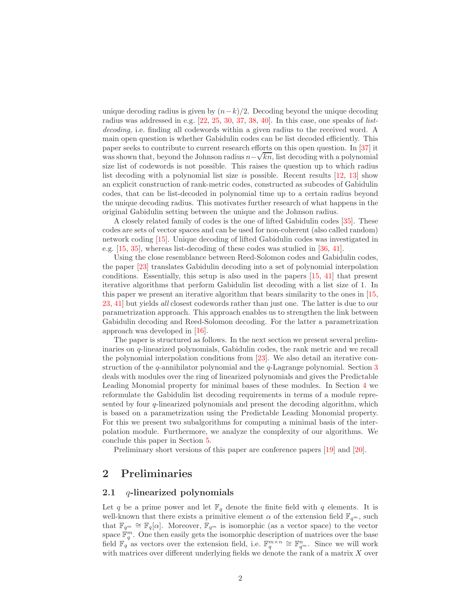unique decoding radius is given by  $(n-k)/2$ . Decoding beyond the unique decoding radius was addressed in e.g.  $[22, 25, 30, 37, 38, 40]$  $[22, 25, 30, 37, 38, 40]$  $[22, 25, 30, 37, 38, 40]$  $[22, 25, 30, 37, 38, 40]$  $[22, 25, 30, 37, 38, 40]$  $[22, 25, 30, 37, 38, 40]$  $[22, 25, 30, 37, 38, 40]$  $[22, 25, 30, 37, 38, 40]$  $[22, 25, 30, 37, 38, 40]$  $[22, 25, 30, 37, 38, 40]$ . In this case, one speaks of *list*decoding, i.e. finding all codewords within a given radius to the received word. A main open question is whether Gabidulin codes can be list decoded efficiently. This paper seeks to contribute to current research efforts on this open question. In [\[37\]](#page-25-1) it was shown that, beyond the Johnson radius  $n - \sqrt{kn}$ , list decoding with a polynomial size list of codewords is not possible. This raises the question up to which radius list decoding with a polynomial list size is possible. Recent results [\[12,](#page-23-4) [13\]](#page-23-5) show an explicit construction of rank-metric codes, constructed as subcodes of Gabidulin codes, that can be list-decoded in polynomial time up to a certain radius beyond the unique decoding radius. This motivates further research of what happens in the original Gabidulin setting between the unique and the Johnson radius.

A closely related family of codes is the one of lifted Gabidulin codes [\[35\]](#page-24-0). These codes are sets of vector spaces and can be used for non-coherent (also called random) network coding [\[15\]](#page-23-0). Unique decoding of lifted Gabidulin codes was investigated in e.g. [\[15,](#page-23-0) [35\]](#page-24-0), whereas list-decoding of these codes was studied in [\[36,](#page-24-11) [41\]](#page-25-4).

Using the close resemblance between Reed-Solomon codes and Gabidulin codes, the paper [\[23\]](#page-24-4) translates Gabidulin decoding into a set of polynomial interpolation conditions. Essentially, this setup is also used in the papers [\[15,](#page-23-0) [41\]](#page-25-4) that present iterative algorithms that perform Gabidulin list decoding with a list size of 1. In this paper we present an iterative algorithm that bears similarity to the ones in [\[15,](#page-23-0) [23,](#page-24-4) [41\]](#page-25-4) but yields all closest codewords rather than just one. The latter is due to our parametrization approach. This approach enables us to strengthen the link between Gabidulin decoding and Reed-Solomon decoding. For the latter a parametrization approach was developed in [\[16\]](#page-23-6).

The paper is structured as follows. In the next section we present several preliminaries on q-linearized polynomials, Gabidulin codes, the rank metric and we recall the polynomial interpolation conditions from [\[23\]](#page-24-4). We also detail an iterative construction of the  $q$ -annihilator polynomial and the  $q$ -Lagrange polynomial. Section [3](#page-5-0) deals with modules over the ring of linearized polynomials and gives the Predictable Leading Monomial property for minimal bases of these modules. In Section [4](#page-8-0) we reformulate the Gabidulin list decoding requirements in terms of a module represented by four q-linearized polynomials and present the decoding algorithm, which is based on a parametrization using the Predictable Leading Monomial property. For this we present two subalgorithms for computing a minimal basis of the interpolation module. Furthermore, we analyze the complexity of our algorithms. We conclude this paper in Section [5.](#page-21-0)

Preliminary short versions of this paper are conference papers  $[19]$  and  $[20]$ .

## 2 Preliminaries

#### 2.1  $q$ -linearized polynomials

Let q be a prime power and let  $\mathbb{F}_q$  denote the finite field with q elements. It is well-known that there exists a primitive element  $\alpha$  of the extension field  $\mathbb{F}_{q^m}$ , such that  $\mathbb{F}_{q^m} \cong \mathbb{F}_q[\alpha]$ . Moreover,  $\mathbb{F}_{q^m}$  is isomorphic (as a vector space) to the vector space  $\mathbb{F}_q^m$ . One then easily gets the isomorphic description of matrices over the base field  $\mathbb{F}_q^{\mathbb{R}}$  as vectors over the extension field, i.e.  $\mathbb{F}_q^{m \times n} \cong \mathbb{F}_{q^m}^n$ . Since we will work with matrices over different underlying fields we denote the rank of a matrix  $X$  over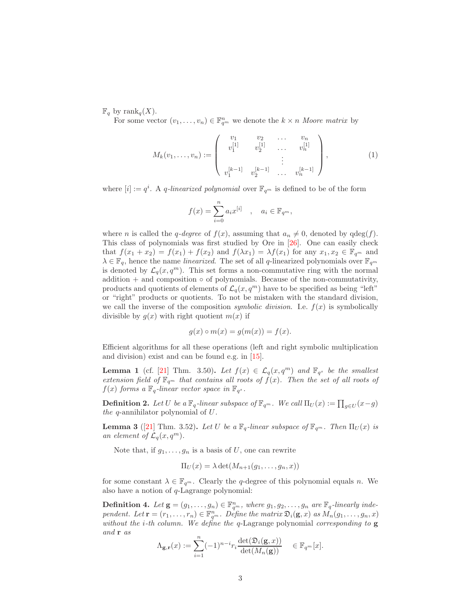$\mathbb{F}_q$  by rank $_q(X)$ .

For some vector  $(v_1, \ldots, v_n) \in \mathbb{F}_{q^m}^n$  we denote the  $k \times n$  Moore matrix by

<span id="page-2-1"></span>
$$
M_k(v_1,\ldots,v_n) := \begin{pmatrix} v_1 & v_2 & \ldots & v_n \\ v_1^{[1]} & v_2^{[1]} & \ldots & v_n^{[1]} \\ \vdots & & \vdots & \\ v_1^{[k-1]} & v_2^{[k-1]} & \ldots & v_n^{[k-1]} \end{pmatrix},
$$
(1)

where  $[i] := q^i$ . A *q*-linearized polynomial over  $\mathbb{F}_{q^m}$  is defined to be of the form

$$
f(x) = \sum_{i=0}^{n} a_i x^{[i]}, \quad a_i \in \mathbb{F}_{q^m},
$$

where n is called the q-degree of  $f(x)$ , assuming that  $a_n \neq 0$ , denoted by  $qdeg(f)$ . This class of polynomials was first studied by Ore in [\[26\]](#page-24-12). One can easily check that  $f(x_1 + x_2) = f(x_1) + f(x_2)$  and  $f(\lambda x_1) = \lambda f(x_1)$  for any  $x_1, x_2 \in \mathbb{F}_{q^m}$  and  $\lambda \in \mathbb{F}_q$ , hence the name *linearized*. The set of all q-linearized polynomials over  $\mathbb{F}_{q^m}$ is denoted by  $\mathcal{L}_q(x, q^m)$ . This set forms a non-commutative ring with the normal  $addition + and composition  $o$  of polynomials. Because of the non-commutativity,$ products and quotients of elements of  $\mathcal{L}_q(x, q^m)$  have to be specified as being "left" or "right" products or quotients. To not be mistaken with the standard division, we call the inverse of the composition *symbolic division*. I.e.  $f(x)$  is symbolically divisible by  $g(x)$  with right quotient  $m(x)$  if

$$
g(x) \circ m(x) = g(m(x)) = f(x).
$$

Efficient algorithms for all these operations (left and right symbolic multiplication and division) exist and can be found e.g. in [\[15\]](#page-23-0).

<span id="page-2-2"></span>**Lemma 1** (cf. [\[21\]](#page-23-9) Thm. 3.50). Let  $f(x) \in \mathcal{L}_q(x, q^m)$  and  $\mathbb{F}_{q^s}$  be the smallest extension field of  $\mathbb{F}_{q^m}$  that contains all roots of  $f(x)$ . Then the set of all roots of  $f(x)$  forms a  $\mathbb{F}_q$ -linear vector space in  $\mathbb{F}_{q^s}$ .

**Definition 2.** Let U be a  $\mathbb{F}_q$ -linear subspace of  $\mathbb{F}_{q^m}$ . We call  $\Pi_U(x) := \prod_{g \in U} (x - g)$ the q-annihilator polynomial of  $U$ .

<span id="page-2-0"></span>**Lemma 3** ([\[21\]](#page-23-9) Thm. 3.52). Let U be a  $\mathbb{F}_q$ -linear subspace of  $\mathbb{F}_{q^m}$ . Then  $\Pi_U(x)$  is an element of  $\mathcal{L}_q(x,q^m)$ .

Note that, if  $g_1, \ldots, g_n$  is a basis of U, one can rewrite

$$
\Pi_U(x) = \lambda \det(M_{n+1}(g_1,\ldots,g_n,x))
$$

for some constant  $\lambda \in \mathbb{F}_{q^m}$ . Clearly the q-degree of this polynomial equals n. We also have a notion of q-Lagrange polynomial:

**Definition 4.** Let  $\mathbf{g} = (g_1, \ldots, g_n) \in \mathbb{F}_{q^m}^n$ , where  $g_1, g_2, \ldots, g_n$  are  $\mathbb{F}_q$ -linearly independent. Let  $\mathbf{r} = (r_1, \ldots, r_n) \in \mathbb{F}_{q^m}^n$ . Define the matrix  $\mathfrak{D}_i(\mathbf{g}, x)$  as  $M_n(g_1, \ldots, g_n, x)$ without the *i*-th column. We define the q-Lagrange polynomial corresponding to  $g$ and r as

$$
\Lambda_{\mathbf{g},\mathbf{r}}(x) := \sum_{i=1}^n (-1)^{n-i} r_i \frac{\det(\mathfrak{D}_i(\mathbf{g},x))}{\det(M_n(\mathbf{g}))} \in \mathbb{F}_{q^m}[x].
$$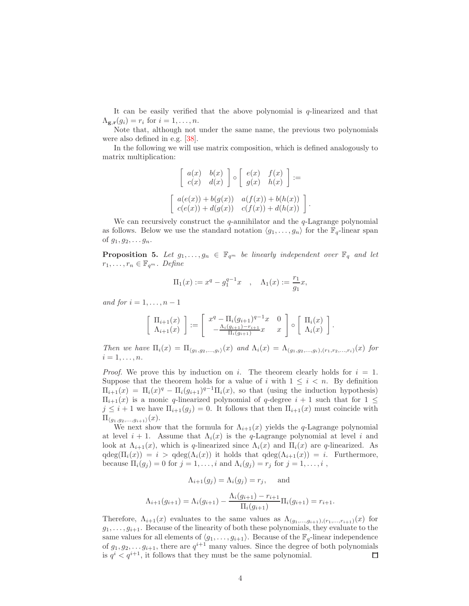It can be easily verified that the above polynomial is q-linearized and that  $\Lambda_{\mathbf{\mathbf{g}},\mathbf{r}}(g_i) = r_i$  for  $i = 1,\ldots,n$ .

Note that, although not under the same name, the previous two polynomials were also defined in e.g. [\[38\]](#page-25-2).

In the following we will use matrix composition, which is defined analogously to matrix multiplication:

$$
\begin{bmatrix} a(x) & b(x) \\ c(x) & d(x) \end{bmatrix} \circ \begin{bmatrix} e(x) & f(x) \\ g(x) & h(x) \end{bmatrix} :=
$$

$$
\begin{bmatrix} a(e(x)) + b(g(x)) & a(f(x)) + b(h(x)) \\ c(e(x)) + d(g(x)) & c(f(x)) + d(h(x)) \end{bmatrix}.
$$

We can recursively construct the  $q$ -annihilator and the  $q$ -Lagrange polynomial as follows. Below we use the standard notation  $\langle g_1, \ldots, g_n \rangle$  for the  $\mathbb{F}_q$ -linear span of  $g_1, g_2, \ldots g_n$ .

<span id="page-3-0"></span>**Proposition 5.** Let  $g_1, \ldots, g_n \in \mathbb{F}_{q^m}$  be linearly independent over  $\mathbb{F}_q$  and let  $r_1, \ldots, r_n \in \mathbb{F}_{q^m}$ . Define

$$
\Pi_1(x) := x^q - g_1^{q-1}x
$$
,  $\Lambda_1(x) := \frac{r_1}{g_1}x$ ,

and for  $i = 1, \ldots, n - 1$ 

$$
\begin{bmatrix} \Pi_{i+1}(x) \\ \Lambda_{i+1}(x) \end{bmatrix} := \begin{bmatrix} x^q - \Pi_i (g_{i+1})^{q-1} x & 0 \\ -\frac{\Lambda_i (g_{i+1}) - r_{i+1}}{\Pi_i (g_{i+1})} x & x \end{bmatrix} \circ \begin{bmatrix} \Pi_i(x) \\ \Lambda_i(x) \end{bmatrix}.
$$

Then we have  $\Pi_i(x) = \Pi_{(q_1,q_2,...,q_i)}(x)$  and  $\Lambda_i(x) = \Lambda_{(q_1,q_2,...,q_i),(r_1,r_2,...,r_i)}(x)$  for  $i=1,\ldots,n$ .

*Proof.* We prove this by induction on i. The theorem clearly holds for  $i = 1$ . Suppose that the theorem holds for a value of i with  $1 \leq i \leq n$ . By definition  $\Pi_{i+1}(x) = \Pi_i(x)^q - \Pi_i(g_{i+1})^{q-1}\Pi_i(x)$ , so that (using the induction hypothesis)  $\Pi_{i+1}(x)$  is a monic q-linearized polynomial of q-degree  $i + 1$  such that for  $1 \leq$  $j \leq i+1$  we have  $\Pi_{i+1}(g_j) = 0$ . It follows that then  $\Pi_{i+1}(x)$  must coincide with  $\Pi_{\langle g_1,g_2,...,g_{i+1}\rangle}(x).$ 

We next show that the formula for  $\Lambda_{i+1}(x)$  yields the q-Lagrange polynomial at level  $i + 1$ . Assume that  $\Lambda_i(x)$  is the q-Lagrange polynomial at level i and look at  $\Lambda_{i+1}(x)$ , which is q-linearized since  $\Lambda_i(x)$  and  $\Pi_i(x)$  are q-linearized. As  $qdeg(\Pi_i(x)) = i > qdeg(\Lambda_i(x))$  it holds that  $qdeg(\Lambda_{i+1}(x)) = i$ . Furthermore, because  $\Pi_i(g_j) = 0$  for  $j = 1, \ldots, i$  and  $\Lambda_i(g_j) = r_j$  for  $j = 1, \ldots, i$ ,

$$
\Lambda_{i+1}(g_j) = \Lambda_i(g_j) = r_j, \quad \text{and}
$$

$$
\Lambda_{i+1}(g_{i+1}) = \Lambda_i(g_{i+1}) - \frac{\Lambda_i(g_{i+1}) - r_{i+1}}{\Pi_i(g_{i+1})} \Pi_i(g_{i+1}) = r_{i+1}.
$$

Therefore,  $\Lambda_{i+1}(x)$  evaluates to the same values as  $\Lambda_{(g_1,...,g_{i+1}), (r_1,...,r_{i+1})}(x)$  for  $g_1, \ldots, g_{i+1}$ . Because of the linearity of both these polynomials, they evaluate to the same values for all elements of  $\langle g_1, \ldots, g_{i+1} \rangle$ . Because of the  $\mathbb{F}_q$ -linear independence of  $g_1, g_2, \ldots g_{i+1}$ , there are  $q^{i+1}$  many values. Since the degree of both polynomials is  $q^{i} < q^{i+1}$ , it follows that they must be the same polynomial.  $\Box$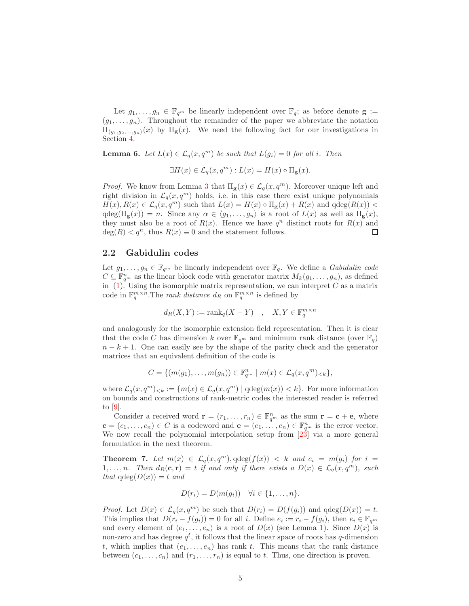Let  $g_1, \ldots, g_n \in \mathbb{F}_{q^m}$  be linearly independent over  $\mathbb{F}_q$ ; as before denote  $\mathbf{g} :=$  $(g_1, \ldots, g_n)$ . Throughout the remainder of the paper we abbreviate the notation  $\Pi_{\langle g_1,g_2,...,g_n\rangle}(x)$  by  $\Pi_{\mathbf{g}}(x)$ . We need the following fact for our investigations in Section [4.](#page-8-0)

<span id="page-4-1"></span>**Lemma 6.** Let  $L(x) \in \mathcal{L}_q(x, q^m)$  be such that  $L(g_i) = 0$  for all i. Then

$$
\exists H(x) \in \mathcal{L}_q(x, q^m) : L(x) = H(x) \circ \Pi_{\mathbf{g}}(x).
$$

*Proof.* We know from Lemma [3](#page-2-0) that  $\Pi_{\mathbf{g}}(x) \in \mathcal{L}_q(x, q^m)$ . Moreover unique left and right division in  $\mathcal{L}_q(x, q^m)$  holds, i.e. in this case there exist unique polynomials  $H(x), R(x) \in \mathcal{L}_q(x, q^m)$  such that  $L(x) = H(x) \circ \Pi_{\mathbf{g}}(x) + R(x)$  and  $qdeg(R(x)) <$  $qdeg(\Pi_{g}(x)) = n$ . Since any  $\alpha \in \langle g_1, \ldots, g_n \rangle$  is a root of  $L(x)$  as well as  $\Pi_{g}(x)$ , they must also be a root of  $R(x)$ . Hence we have  $q^n$  distinct roots for  $R(x)$  and  $deg(R) < q^n$ , thus  $R(x) \equiv 0$  and the statement follows.  $\Box$ 

#### 2.2 Gabidulin codes

Let  $g_1, \ldots, g_n \in \mathbb{F}_{q^m}$  be linearly independent over  $\mathbb{F}_q$ . We define a *Gabidulin code*  $C \subseteq \mathbb{F}_{q^m}^n$  as the linear block code with generator matrix  $M_k(g_1, \ldots, g_n)$ , as defined in  $(1)$ . Using the isomorphic matrix representation, we can interpret C as a matrix code in  $\mathbb{F}_q^{m \times n}$ . The *rank distance*  $d_R$  on  $\mathbb{F}_q^{m \times n}$  is defined by

$$
d_R(X, Y) := \text{rank}_q(X - Y) \quad , \quad X, Y \in \mathbb{F}_q^{m \times n}
$$

and analogously for the isomorphic extension field representation. Then it is clear that the code C has dimension k over  $\mathbb{F}_{q^m}$  and minimum rank distance (over  $\mathbb{F}_q$ )  $n - k + 1$ . One can easily see by the shape of the parity check and the generator matrices that an equivalent definition of the code is

$$
C = \{ (m(g_1), \ldots, m(g_n)) \in \mathbb{F}_{q^m}^n \mid m(x) \in \mathcal{L}_q(x, q^m)_{< k} \},
$$

where  $\mathcal{L}_q(x,q^m)_{< k} := \{m(x) \in \mathcal{L}_q(x,q^m) \mid \text{qdeg}(m(x)) < k\}.$  For more information on bounds and constructions of rank-metric codes the interested reader is referred to [\[9\]](#page-23-1).

Consider a received word  $\mathbf{r} = (r_1, \dots, r_n) \in \mathbb{F}_{q^m}^n$  as the sum  $\mathbf{r} = \mathbf{c} + \mathbf{e}$ , where  $\mathbf{c} = (c_1, \ldots, c_n) \in C$  is a codeword and  $\mathbf{e} = (e_1, \ldots, e_n) \in \mathbb{F}_{q^m}^n$  is the error vector. We now recall the polynomial interpolation setup from [\[23\]](#page-24-4) via a more general formulation in the next theorem.

<span id="page-4-0"></span>**Theorem 7.** Let  $m(x) \in \mathcal{L}_q(x, q^m)$ ,  $\deg(f(x)) < k$  and  $c_i = m(g_i)$  for  $i =$  $1, \ldots, n$ . Then  $d_R(c, r) = t$  if and only if there exists a  $D(x) \in \mathcal{L}_q(x, q^m)$ , such that  $qdeg(D(x)) = t$  and

$$
D(r_i) = D(m(g_i)) \quad \forall i \in \{1, \ldots, n\}.
$$

*Proof.* Let  $D(x) \in \mathcal{L}_q(x, q^m)$  be such that  $D(r_i) = D(f(g_i))$  and  $qdeg(D(x)) = t$ . This implies that  $D(r_i - f(g_i)) = 0$  for all i. Define  $e_i := r_i - f(g_i)$ , then  $e_i \in \mathbb{F}_{q^m}$ and every element of  $\langle e_1, \ldots, e_n \rangle$  is a root of  $D(x)$  (see Lemma [1\)](#page-2-2). Since  $D(x)$  is non-zero and has degree  $q^t$ , it follows that the linear space of roots has  $q$ -dimension t, which implies that  $(e_1, \ldots, e_n)$  has rank t. This means that the rank distance between  $(c_1, \ldots, c_n)$  and  $(r_1, \ldots, r_n)$  is equal to t. Thus, one direction is proven.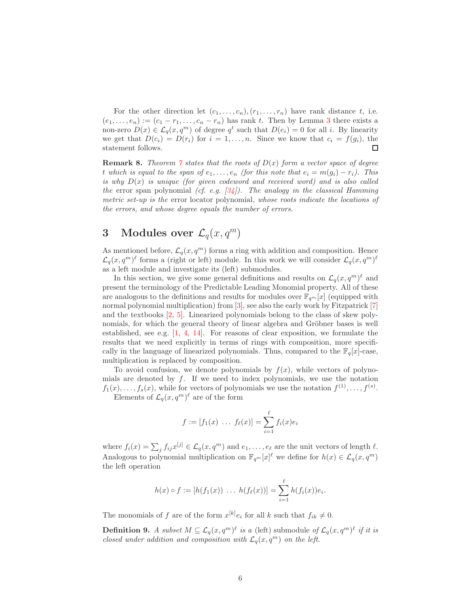For the other direction let  $(c_1, \ldots, c_n), (r_1, \ldots, r_n)$  have rank distance t, i.e.  $(e_1, \ldots, e_n) := (c_1 - r_1, \ldots, c_n - r_n)$  has rank t. Then by Lemma [3](#page-2-0) there exists a non-zero  $D(x) \in \mathcal{L}_q(x, q^m)$  of degree  $q^t$  such that  $D(e_i) = 0$  for all i. By linearity we get that  $D(c_i) = D(r_i)$  for  $i = 1, ..., n$ . Since we know that  $c_i = f(g_i)$ , the statement follows.  $\Box$ 

**Remark 8.** Theorem [7](#page-4-0) states that the roots of  $D(x)$  form a vector space of degree t which is equal to the span of  $e_1, \ldots, e_n$  (for this note that  $e_i = m(g_i) - r_i$ ). This is why  $D(x)$  is unique (for given codeword and received word) and is also called the error span polynomial (cf. e.g.  $(34)$ ). The analogy in the classical Hamming metric set-up is the error locator polynomial, whose roots indicate the locations of the errors, and whose degree equals the number of errors.

## <span id="page-5-0"></span>3 Modules over  $\mathcal{L}_q(x, q^m)$

As mentioned before,  $\mathcal{L}_q(x, q^m)$  forms a ring with addition and composition. Hence  $\mathcal{L}_q(x,q^m)^\ell$  forms a (right or left) module. In this work we will consider  $\mathcal{L}_q(x,q^m)^\ell$ as a left module and investigate its (left) submodules.

In this section, we give some general definitions and results on  $\mathcal{L}_q(x, q^m)^\ell$  and present the terminology of the Predictable Leading Monomial property. All of these are analogous to the definitions and results for modules over  $\mathbb{F}_{q^m}[x]$  (equipped with normal polynomial multiplication) from [\[3\]](#page-22-1), see also the early work by Fitzpatrick [\[7\]](#page-22-2) and the textbooks [\[2,](#page-22-3) [5\]](#page-22-4). Linearized polynomials belong to the class of skew polynomials, for which the general theory of linear algebra and Gröbner bases is well established, see e.g. [\[1,](#page-22-5) [4,](#page-22-6) [14\]](#page-23-10). For reasons of clear exposition, we formulate the results that we need explicitly in terms of rings with composition, more specifically in the language of linearized polynomials. Thus, compared to the  $\mathbb{F}_q[x]$ -case, multiplication is replaced by composition.

To avoid confusion, we denote polynomials by  $f(x)$ , while vectors of polynomials are denoted by  $f$ . If we need to index polynomials, we use the notation  $f_1(x), \ldots, f_s(x)$ , while for vectors of polynomials we use the notation  $f^{(1)}, \ldots, f^{(s)}$ .

Elements of  $\mathcal{L}_q(x,q^m)^\ell$  are of the form

$$
f := [f_1(x) \dots f_\ell(x)] = \sum_{i=1}^{\ell} f_i(x)e_i
$$

where  $f_i(x) = \sum_j f_{ij}x^{[j]} \in \mathcal{L}_q(x, q^m)$  and  $e_1, \ldots, e_\ell$  are the unit vectors of length  $\ell$ . Analogous to polynomial multiplication on  $\mathbb{F}_{q^m}[x]^\ell$  we define for  $h(x) \in \mathcal{L}_q(x, q^m)$ the left operation

$$
h(x) \circ f := [h(f_1(x)) \ \ldots \ h(f_\ell(x))] = \sum_{i=1}^{\ell} h(f_i(x))e_i.
$$

The monomials of f are of the form  $x^{[k]}e_i$  for all k such that  $f_{ik} \neq 0$ .

**Definition 9.** A subset  $M \subseteq \mathcal{L}_q(x, q^m)^\ell$  is a (left) submodule of  $\mathcal{L}_q(x, q^m)^\ell$  if it is closed under addition and composition with  $\mathcal{L}_q(x, q^m)$  on the left.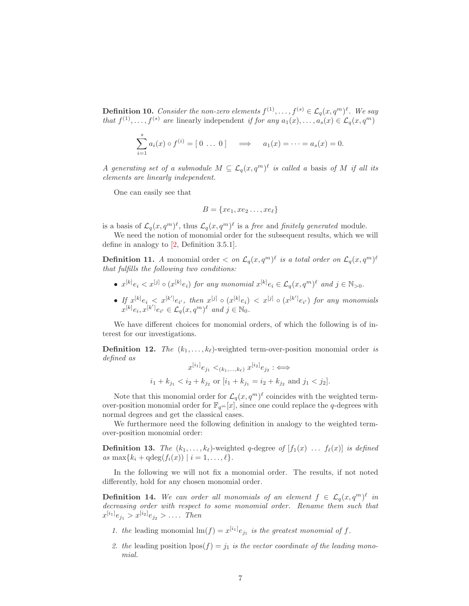**Definition 10.** Consider the non-zero elements  $f^{(1)}, \ldots, f^{(s)} \in \mathcal{L}_q(x, q^m)^{\ell}$ . We say that  $f^{(1)}, \ldots, f^{(s)}$  are linearly independent if for any  $a_1(x), \ldots, a_s(x) \in \mathcal{L}_q(x, q^m)$ 

$$
\sum_{i=1}^{s} a_i(x) \circ f^{(i)} = [0 \dots 0] \implies a_1(x) = \dots = a_s(x) = 0.
$$

A generating set of a submodule  $M \subseteq \mathcal{L}_q(x,q^m)^\ell$  is called a basis of M if all its elements are linearly independent.

One can easily see that

$$
B = \{xe_1, xe_2 \ldots, xe_{\ell}\}\
$$

is a basis of  $\mathcal{L}_q(x,q^m)^\ell$ , thus  $\mathcal{L}_q(x,q^m)^\ell$  is a *free* and *finitely generated* module.

We need the notion of monomial order for the subsequent results, which we will define in analogy to [\[2,](#page-22-3) Definition 3.5.1].

**Definition 11.** A monomial order  $\langle on \mathcal{L}_q(x, q^m)^\ell \rangle$  is a total order on  $\mathcal{L}_q(x, q^m)^\ell$ that fulfills the following two conditions:

- $x^{[k]}e_i < x^{[j]} \circ (x^{[k]}e_i)$  for any monomial  $x^{[k]}e_i \in \mathcal{L}_q(x,q^m)^\ell$  and  $j \in \mathbb{N}_{>0}$ .
- $\iint_{U_1} x^{[k]} e_i \leq x^{[k']} e_{i'}, \text{ then } x^{[j]} \circ (x^{[k]} e_i) \leq x^{[j]} \circ (x^{[k']} e_{i'}) \text{ for any monomials}$  $x^{[k]}e_i, x^{[k']}e_{i'} \in \mathcal{L}_q(x, q^m)^{\ell}$  and  $j \in \mathbb{N}_0$ .

We have different choices for monomial orders, of which the following is of interest for our investigations.

**Definition 12.** The  $(k_1, \ldots, k_\ell)$ -weighted term-over-position monomial order is defined as

$$
x^{[i_1]}e_{j_1} <_{(k_1,\ldots,k_\ell)} x^{[i_2]}e_{j_2} : \iff
$$
  

$$
i_1 + k_{j_1} < i_2 + k_{j_2} \text{ or } [i_1 + k_{j_1} = i_2 + k_{j_2} \text{ and } j_1 < j_2].
$$

Note that this monomial order for  $\mathcal{L}_q(x, q^m)^\ell$  coincides with the weighted termover-position monomial order for  $\mathbb{F}_{q^m}[x]$ , since one could replace the q-degrees with normal degrees and get the classical cases.

We furthermore need the following definition in analogy to the weighted termover-position monomial order:

**Definition 13.** The  $(k_1, \ldots, k_\ell)$ -weighted q-degree of  $[f_1(x) \ldots f_\ell(x)]$  is defined as  $\max\{k_i + \deg(f_i(x)) \mid i = 1, ..., \ell\}.$ 

In the following we will not fix a monomial order. The results, if not noted differently, hold for any chosen monomial order.

**Definition 14.** We can order all monomials of an element  $f \in \mathcal{L}_q(x,q^m)^\ell$  in decreasing order with respect to some monomial order. Rename them such that  $x^{[i_1]}e_{j_1} > x^{[i_2]}e_{j_2} > \ldots$  Then

- 1. the leading monomial  $\text{Im}(f) = x^{[i_1]}e_{j_1}$  is the greatest monomial of f.
- 2. the leading position  $\text{pos}(f) = j_1$  is the vector coordinate of the leading monomial.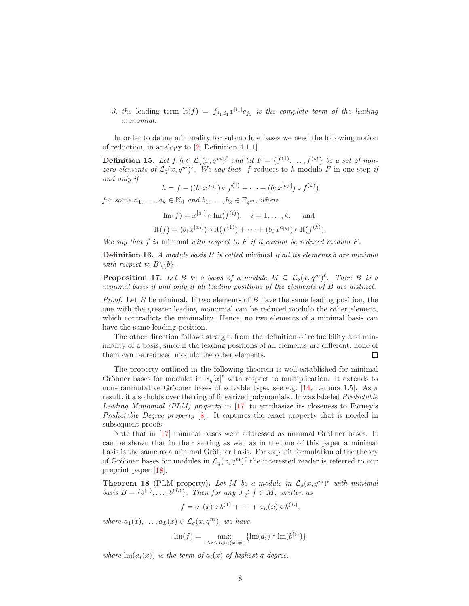3. the leading term  $\text{lt}(f) = f_{j_1,i_1} x^{[i_1]} e_{j_1}$  is the complete term of the leading monomial.

In order to define minimality for submodule bases we need the following notion of reduction, in analogy to [\[2,](#page-22-3) Definition 4.1.1].

**Definition 15.** Let  $f, h \in \mathcal{L}_q(x, q^m)^\ell$  and let  $F = \{f^{(1)}, \ldots, f^{(s)}\}$  be a set of nonzero elements of  $\mathcal{L}_q(x,q^m)^\ell$ . We say that f reduces to h modulo F in one step if and only if

$$
h = f - ((b_1 x^{[a_1]}) \circ f^{(1)} + \cdots + (b_k x^{[a_k]}) \circ f^{(k)})
$$

for some  $a_1, \ldots, a_k \in \mathbb{N}_0$  and  $b_1, \ldots, b_k \in \mathbb{F}_{q^m}$ , where

$$
\text{lm}(f) = x^{[a_i]} \circ \text{lm}(f^{(i)}), \quad i = 1, ..., k, \quad \text{and}
$$
  

$$
\text{lt}(f) = (b_1 x^{[a_1]}) \circ \text{lt}(f^{(1)}) + \dots + (b_k x^{a_{[k]}}) \circ \text{lt}(f^{(k)}).
$$

We say that f is minimal with respect to F if it cannot be reduced modulo  $F$ .

**Definition 16.** A module basis  $B$  is called minimal if all its elements  $b$  are minimal with respect to  $B \setminus \{b\}$ .

<span id="page-7-0"></span>**Proposition 17.** Let B be a basis of a module  $M \subseteq \mathcal{L}_q(x,q^m)^{\ell}$ . Then B is a minimal basis if and only if all leading positions of the elements of B are distinct.

*Proof.* Let B be minimal. If two elements of B have the same leading position, the one with the greater leading monomial can be reduced modulo the other element, which contradicts the minimality. Hence, no two elements of a minimal basis can have the same leading position.

The other direction follows straight from the definition of reducibility and minimality of a basis, since if the leading positions of all elements are different, none of  $\Box$ them can be reduced modulo the other elements.

The property outlined in the following theorem is well-established for minimal Gröbner bases for modules in  $\mathbb{F}_q[x]^\ell$  with respect to multiplication. It extends to non-commutative Gröbner bases of solvable type, see e.g.  $[14, \text{ Lemma } 1.5]$ . As a result, it also holds over the ring of linearized polynomials. It was labeled Predictable Leading Monomial (PLM) property in [\[17\]](#page-23-11) to emphasize its closeness to Forney's Predictable Degree property [\[8\]](#page-23-12). It captures the exact property that is needed in subsequent proofs.

Note that in  $[17]$  minimal bases were addressed as minimal Gröbner bases. It can be shown that in their setting as well as in the one of this paper a minimal basis is the same as a minimal Gröbner basis. For explicit formulation of the theory of Gröbner bases for modules in  $\mathcal{L}_q(x, q^m)^\ell$  the interested reader is referred to our preprint paper [\[18\]](#page-23-13).

<span id="page-7-1"></span>**Theorem 18** (PLM property). Let M be a module in  $\mathcal{L}_q(x,q^m)^\ell$  with minimal basis  $B = \{b^{(1)}, \ldots, b^{(L)}\}$ . Then for any  $0 \neq f \in M$ , written as

$$
f = a_1(x) \circ b^{(1)} + \cdots + a_L(x) \circ b^{(L)},
$$

where  $a_1(x), \ldots, a_L(x) \in \mathcal{L}_q(x, q^m)$ , we have

$$
\text{Im}(f) = \max_{1 \le i \le L; a_i(x) \ne 0} \{ \text{Im}(a_i) \circ \text{Im}(b^{(i)}) \}
$$

where  $\ln(a_i(x))$  is the term of  $a_i(x)$  of highest q-degree.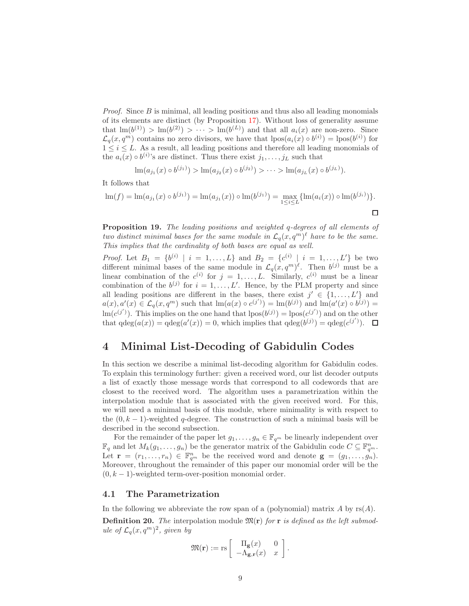*Proof.* Since  $B$  is minimal, all leading positions and thus also all leading monomials of its elements are distinct (by Proposition [17\)](#page-7-0). Without loss of generality assume that  $\text{Im}(b^{(1)}) > \text{Im}(b^{(2)}) > \cdots > \text{Im}(b^{(L)})$  and that all  $a_i(x)$  are non-zero. Since  $\mathcal{L}_q(x,q^m)$  contains no zero divisors, we have that  $lpos(a_i(x) \circ b^{(i)}) = lpos(b^{(i)})$  for  $1 \leq i \leq L$ . As a result, all leading positions and therefore all leading monomials of the  $a_i(x) \circ b^{(i)}$ 's are distinct. Thus there exist  $j_1, \ldots, j_L$  such that

$$
\ln(a_{j_1}(x) \circ b^{(j_1)}) > \ln(a_{j_2}(x) \circ b^{(j_2)}) > \cdots > \ln(a_{j_L}(x) \circ b^{(j_L)}).
$$

It follows that

$$
\operatorname{lm}(f) = \operatorname{lm}(a_{j_1}(x) \circ b^{(j_1)}) = \operatorname{lm}(a_{j_1}(x)) \circ \operatorname{lm}(b^{(j_1)}) = \max_{1 \le i \le L} \{\operatorname{lm}(a_i(x)) \circ \operatorname{lm}(b^{(j_i)})\}.
$$

<span id="page-8-1"></span>Proposition 19. The leading positions and weighted q-degrees of all elements of two distinct minimal bases for the same module in  $\mathcal{L}_q(x,q^m)^\ell$  have to be the same. This implies that the cardinality of both bases are equal as well.

*Proof.* Let  $B_1 = \{b^{(i)} | i = 1, ..., L\}$  and  $B_2 = \{c^{(i)} | i = 1, ..., L'\}$  be two different minimal bases of the same module in  $\mathcal{L}_q(x, q^m)^\ell$ . Then  $b^{(j)}$  must be a linear combination of the  $c^{(i)}$  for  $j = 1, ..., L$ . Similarly,  $c^{(i)}$  must be a linear combination of the  $b^{(j)}$  for  $i = 1, ..., L'$ . Hence, by the PLM property and since all leading positions are different in the bases, there exist  $j' \in \{1, ..., L'\}$  and  $a(x), a'(x) \in \mathcal{L}_q(x, q^m)$  such that  $\text{Im}(a(x) \circ c^{(j')}) = \text{Im}(b^{(j)})$  and  $\text{Im}(a'(x) \circ b^{(j)}) =$  $\text{Im}(c^{(j')})$ . This implies on the one hand that  $\text{pos}(b^{(j)}) = \text{pos}(c^{(j')})$  and on the other that  $qdeg(a(x)) = qdeg(a'(x)) = 0$ , which implies that  $qdeg(b^{(j)}) = qdeg(c^{(j')})$ .

## <span id="page-8-0"></span>4 Minimal List-Decoding of Gabidulin Codes

In this section we describe a minimal list-decoding algorithm for Gabidulin codes. To explain this terminology further: given a received word, our list decoder outputs a list of exactly those message words that correspond to all codewords that are closest to the received word. The algorithm uses a parametrization within the interpolation module that is associated with the given received word. For this, we will need a minimal basis of this module, where minimality is with respect to the  $(0, k - 1)$ -weighted q-degree. The construction of such a minimal basis will be described in the second subsection.

For the remainder of the paper let  $g_1, \ldots, g_n \in \mathbb{F}_{q^m}$  be linearly independent over  $\mathbb{F}_q$  and let  $M_k(g_1, \ldots, g_n)$  be the generator matrix of the Gabidulin code  $C \subseteq \mathbb{F}_{q^m}^n$ . Let  $\mathbf{r} = (r_1, \ldots, r_n) \in \mathbb{F}_{q^m}^n$  be the received word and denote  $\mathbf{g} = (g_1, \ldots, g_n)$ . Moreover, throughout the remainder of this paper our monomial order will be the  $(0, k - 1)$ -weighted term-over-position monomial order.

#### 4.1 The Parametrization

In the following we abbreviate the row span of a (polynomial) matrix A by  $rs(A)$ . **Definition 20.** The interpolation module  $\mathfrak{M}(\mathbf{r})$  for **r** is defined as the left submodule of  $\mathcal{L}_q(x,q^m)^2$ , given by

$$
\mathfrak{M}(\mathbf{r}) := \text{rs} \left[ \begin{array}{cc} \Pi_{\mathbf{g}}(x) & 0 \\ -\Lambda_{\mathbf{g},\mathbf{r}}(x) & x \end{array} \right].
$$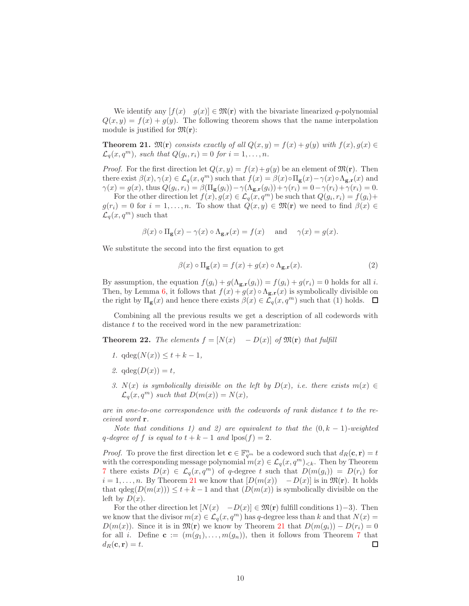We identify any  $[f(x) \quad g(x)] \in \mathfrak{M}(\mathbf{r})$  with the bivariate linearized q-polynomial  $Q(x, y) = f(x) + g(y)$ . The following theorem shows that the name interpolation module is justified for  $\mathfrak{M}(\mathbf{r})$ :

<span id="page-9-0"></span>**Theorem 21.**  $\mathfrak{M}(\mathbf{r})$  consists exactly of all  $Q(x, y) = f(x) + g(y)$  with  $f(x), g(x) \in$  $\mathcal{L}_q(x,q^m)$ , such that  $Q(g_i,r_i) = 0$  for  $i = 1,\ldots,n$ .

*Proof.* For the first direction let  $Q(x, y) = f(x) + g(y)$  be an element of  $\mathfrak{M}(\mathbf{r})$ . Then there exist  $\beta(x), \gamma(x) \in \mathcal{L}_q(x, q^m)$  such that  $f(x) = \beta(x) \circ \Pi_{\mathbf{g}}(x) - \gamma(x) \circ \Lambda_{\mathbf{g},\mathbf{r}}(x)$  and  $\gamma(x) = g(x)$ , thus  $Q(g_i, r_i) = \beta(\Pi_{\mathbf{g}}(g_i)) - \gamma(\Lambda_{\mathbf{g},\mathbf{r}}(g_i)) + \gamma(r_i) = 0 - \gamma(r_i) + \gamma(r_i) = 0.$ 

For the other direction let  $f(x), g(x) \in \mathcal{L}_q(x, q^m)$  be such that  $Q(g_i, r_i) = f(g_i) +$  $g(r_i) = 0$  for  $i = 1, ..., n$ . To show that  $Q(x, y) \in \mathfrak{M}(\mathbf{r})$  we need to find  $\beta(x) \in$  $\mathcal{L}_q(x,q^m)$  such that

$$
\beta(x) \circ \Pi_{\mathbf{g}}(x) - \gamma(x) \circ \Lambda_{\mathbf{g},\mathbf{r}}(x) = f(x)
$$
 and  $\gamma(x) = g(x)$ .

We substitute the second into the first equation to get

$$
\beta(x) \circ \Pi_{\mathbf{g}}(x) = f(x) + g(x) \circ \Lambda_{\mathbf{g},\mathbf{r}}(x). \tag{2}
$$

By assumption, the equation  $f(g_i) + g(\Lambda_{\mathbf{g},\mathbf{r}}(g_i)) = f(g_i) + g(r_i) = 0$  holds for all i. Then, by Lemma [6,](#page-4-1) it follows that  $f(x) + g(x) \circ \Lambda_{g,r}(x)$  is symbolically divisible on the right by  $\Pi_{\mathbf{g}}(x)$  and hence there exists  $\beta(x) \in \mathcal{L}_q(x, q^m)$  such that (1) holds.  $\Box$ 

Combining all the previous results we get a description of all codewords with distance t to the received word in the new parametrization:

<span id="page-9-1"></span>**Theorem 22.** The elements  $f = [N(x) - D(x)]$  of  $\mathfrak{M}(\mathbf{r})$  that fulfill

- 1.  $qdeg(N(x)) \leq t + k 1$ ,
- 2.  $qdeg(D(x)) = t$ ,
- 3.  $N(x)$  is symbolically divisible on the left by  $D(x)$ , i.e. there exists  $m(x) \in$  $\mathcal{L}_q(x,q^m)$  such that  $D(m(x)) = N(x)$ ,

are in one-to-one correspondence with the codewords of rank distance t to the received word r.

Note that conditions 1) and 2) are equivalent to that the  $(0, k - 1)$ -weighted q-degree of f is equal to  $t + k - 1$  and  $\text{pos}(f) = 2$ .

*Proof.* To prove the first direction let  $\mathbf{c} \in \mathbb{F}_{q^m}^n$  be a codeword such that  $d_R(\mathbf{c}, \mathbf{r}) = t$ with the corresponding message polynomial  $m(x) \in \mathcal{L}_q(x, q^m)_{\leq k}$ . Then by Theorem [7](#page-4-0) there exists  $D(x) \in \mathcal{L}_q(x,q^m)$  of q-degree t such that  $D(m(g_i)) = D(r_i)$  for  $i = 1, \ldots, n$ . By Theorem [21](#page-9-0) we know that  $[D(m(x)) - D(x)]$  is in  $\mathfrak{M}(\mathbf{r})$ . It holds that  $\deg(D(m(x))) \leq t + k - 1$  and that  $(D(m(x)))$  is symbolically divisible on the left by  $D(x)$ .

For the other direction let  $[N(x) - D(x)] \in \mathfrak{M}(\mathbf{r})$  fulfill conditions 1)–3). Then we know that the divisor  $m(x) \in \mathcal{L}_q(x, q^m)$  has q-degree less than k and that  $N(x) =$  $D(m(x))$ . Since it is in  $\mathfrak{M}(\mathbf{r})$  we know by Theorem [21](#page-9-0) that  $D(m(g_i)) - D(r_i) = 0$ for all i. Define  $\mathbf{c} := (m(g_1), \ldots, m(g_n))$ , then it follows from Theorem [7](#page-4-0) that  $d_R(\mathbf{c}, \mathbf{r}) = t.$  $\Box$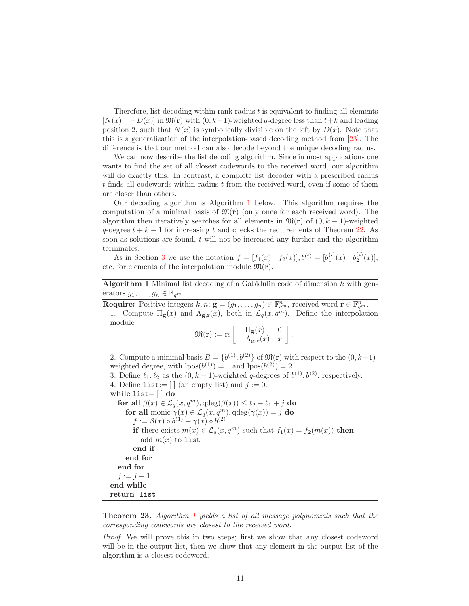Therefore, list decoding within rank radius t is equivalent to finding all elements  $[N(x) - D(x)]$  in  $\mathfrak{M}(\mathbf{r})$  with  $(0, k-1)$ -weighted q-degree less than  $t+k$  and leading position 2, such that  $N(x)$  is symbolically divisible on the left by  $D(x)$ . Note that this is a generalization of the interpolation-based decoding method from [\[23\]](#page-24-4). The difference is that our method can also decode beyond the unique decoding radius.

We can now describe the list decoding algorithm. Since in most applications one wants to find the set of all closest codewords to the received word, our algorithm will do exactly this. In contrast, a complete list decoder with a prescribed radius t finds all codewords within radius t from the received word, even if some of them are closer than others.

Our decoding algorithm is Algorithm [1](#page-10-0) below. This algorithm requires the computation of a minimal basis of  $\mathfrak{M}(\mathbf{r})$  (only once for each received word). The algorithm then iteratively searches for all elements in  $\mathfrak{M}(\mathbf{r})$  of  $(0, k-1)$ -weighted q-degree  $t + k - 1$  for increasing t and checks the requirements of Theorem [22.](#page-9-1) As soon as solutions are found,  $t$  will not be increased any further and the algorithm terminates.

As in Section [3](#page-5-0) we use the notation  $f = [f_1(x) \quad f_2(x)], b^{(i)} = [b_1^{(i)}(x) \quad b_2^{(i)}(x)],$ etc. for elements of the interpolation module  $\mathfrak{M}(\mathbf{r})$ .

Algorithm 1 Minimal list decoding of a Gabidulin code of dimension  $k$  with generators  $g_1, \ldots, g_n \in \mathbb{F}_{q^m}$ .

<span id="page-10-0"></span>**Require:** Positive integers  $k, n; \mathbf{g} = (g_1, \ldots, g_n) \in \mathbb{F}_{q^m}^n$ , received word  $\mathbf{r} \in \mathbb{F}_{q^m}^n$ .

1. Compute  $\Pi_{\mathbf{g}}(x)$  and  $\Lambda_{\mathbf{g},\mathbf{r}}(x)$ , both in  $\mathcal{L}_q(x, q^{\lambda n})$ . Define the interpolation module

$$
\mathfrak{M}(\mathbf{r}) := \mathrm{rs} \left[ \begin{array}{cc} \Pi_{\mathbf{g}}(x) & 0 \\ -\Lambda_{\mathbf{g},\mathbf{r}}(x) & x \end{array} \right].
$$

2. Compute a minimal basis  $B = \{b^{(1)}, b^{(2)}\}$  of  $\mathfrak{M}(\mathbf{r})$  with respect to the  $(0, k-1)$ weighted degree, with  $lpos(b^{(1)}) = 1$  and  $lpos(b^{(2)}) = 2$ .

3. Define  $\ell_1, \ell_2$  as the  $(0, k-1)$ -weighted q-degrees of  $b^{(1)}, b^{(2)}$ , respectively.

4. Define list:=  $\lceil \cdot \rceil$  (an empty list) and  $j := 0$ .

while list=  $\vert \, \vert$  do

for all  $\beta(x) \in \mathcal{L}_q(x, q^m)$ ,  $qdeg(\beta(x)) \leq \ell_2 - \ell_1 + j$  do for all monic  $\gamma(x) \in \mathcal{L}_q(x, q^m)$ ,  $qdeg(\gamma(x)) = j$  do  $f := \beta(x) \circ b^{(1)} + \gamma(x) \circ b^{(2)}$ if there exists  $m(x) \in \mathcal{L}_q(x,q^m)$  such that  $f_1(x) = f_2(m(x))$  then add  $m(x)$  to list end if end for end for  $j := j + 1$ end while return list

**Theorem 23.** Algorithm [1](#page-10-0) yields a list of all message polynomials such that the corresponding codewords are closest to the received word.

Proof. We will prove this in two steps; first we show that any closest codeword will be in the output list, then we show that any element in the output list of the algorithm is a closest codeword.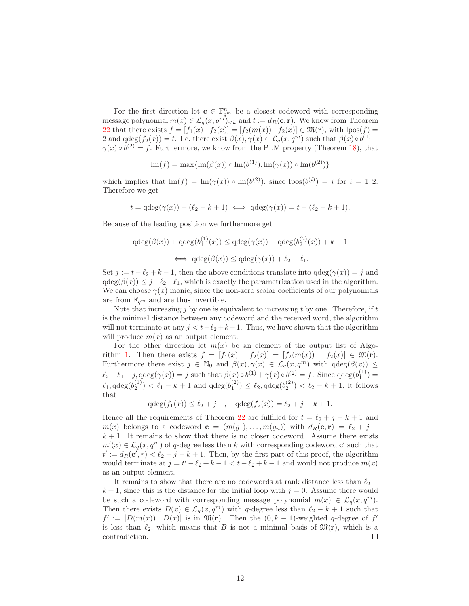For the first direction let  $\mathbf{c} \in \mathbb{F}_{q^m}^n$  be a closest codeword with corresponding message polynomial  $m(x) \in \mathcal{L}_q(x, q^m)_{< k}$  and  $t := d_R(\mathbf{c}, \mathbf{r})$ . We know from Theorem [22](#page-9-1) that there exists  $f = [f_1(x) \quad f_2(x)] = [f_2(m(x)) \quad f_2(x)] \in \mathfrak{M}(\mathbf{r})$ , with  $\text{pos}(f) =$ 2 and  $qdeg(f_2(x)) = t$ . I.e. there exist  $\beta(x), \gamma(x) \in \mathcal{L}_q(x, q^m)$  such that  $\beta(x) \circ b^{(1)} +$  $\gamma(x) \circ b^{(2)} = f$ . Furthermore, we know from the PLM property (Theorem [18\)](#page-7-1), that

$$
\operatorname{lm}(f) = \max\{\operatorname{lm}(\beta(x)) \circ \operatorname{lm}(b^{(1)}), \operatorname{lm}(\gamma(x)) \circ \operatorname{lm}(b^{(2)})\}
$$

which implies that  $\text{Im}(f) = \text{Im}(\gamma(x)) \circ \text{Im}(b^{(2)})$ , since  $\text{lpos}(b^{(i)}) = i$  for  $i = 1, 2$ . Therefore we get

$$
t = \mathrm{qdeg}(\gamma(x)) + (\ell_2 - k + 1) \iff \mathrm{qdeg}(\gamma(x)) = t - (\ell_2 - k + 1).
$$

Because of the leading position we furthermore get

$$
qdeg(\beta(x)) + qdeg(b_1^{(1)}(x)) \leq qdeg(\gamma(x)) + qdeg(b_2^{(2)}(x)) + k - 1
$$
  

$$
\iff qdeg(\beta(x)) \leq qdeg(\gamma(x)) + \ell_2 - \ell_1.
$$

Set  $j := t - \ell_2 + k - 1$ , then the above conditions translate into  $q \deg(\gamma(x)) = j$  and  $qdeg(\beta(x)) \leq j+\ell_2-\ell_1$ , which is exactly the parametrization used in the algorithm. We can choose  $\gamma(x)$  monic, since the non-zero scalar coefficients of our polynomials are from  $\mathbb{F}_{q^m}$  and are thus invertible.

Note that increasing  $j$  by one is equivalent to increasing  $t$  by one. Therefore, if  $t$ is the minimal distance between any codeword and the received word, the algorithm will not terminate at any  $j < t-\ell_2+k-1$ . Thus, we have shown that the algorithm will produce  $m(x)$  as an output element.

For the other direction let  $m(x)$  be an element of the output list of Algo-rithm [1.](#page-10-0) Then there exists  $f = [f_1(x) \quad f_2(x)] = [f_2(m(x)) \quad f_2(x)] \in \mathfrak{M}(\mathbf{r}).$ Furthermore there exist  $j \in \mathbb{N}_0$  and  $\beta(x), \gamma(x) \in \mathcal{L}_q(x, q^m)$  with  $qdeg(\beta(x)) \leq$  $\ell_2 - \ell_1 + j$ ,  $\operatorname{qdeg}(\gamma(x)) = j$  such that  $\beta(x) \circ b^{(1)} + \gamma(x) \circ b^{(2)} = f$ . Since  $\operatorname{qdeg}(b_1^{(1)}) = j$  $\ell_1, \text{qdeg}(b_2^{(1)}) < \ell_1 - k + 1$  and  $\text{qdeg}(b_1^{(2)}) \leq \ell_2, \text{qdeg}(b_2^{(2)}) < \ell_2 - k + 1$ , it follows that

$$
qdeg(f_1(x)) \le \ell_2 + j
$$
,  $qdeg(f_2(x)) = \ell_2 + j - k + 1$ .

Hence all the requirements of Theorem [22](#page-9-1) are fulfilled for  $t = \ell_2 + j - k + 1$  and  $m(x)$  belongs to a codeword  $\mathbf{c} = (m(g_1), \ldots, m(g_n))$  with  $d_R(\mathbf{c}, \mathbf{r}) = \ell_2 + j - \ell_1$  $k + 1$ . It remains to show that there is no closer codeword. Assume there exists  $m'(x) \in \mathcal{L}_q(x, q^m)$  of q-degree less than k with corresponding codeword **c**' such that  $t' := d_R(c', r) < \ell_2 + j - k + 1$ . Then, by the first part of this proof, the algorithm would terminate at  $j = t' - \ell_2 + k - 1 < t - \ell_2 + k - 1$  and would not produce  $m(x)$ as an output element.

It remains to show that there are no codewords at rank distance less than  $\ell_2$  –  $k + 1$ , since this is the distance for the initial loop with  $j = 0$ . Assume there would be such a codeword with corresponding message polynomial  $m(x) \in \mathcal{L}_q(x, q^m)$ . Then there exists  $D(x) \in \mathcal{L}_q(x, q^m)$  with q-degree less than  $\ell_2 - k + 1$  such that  $f' := [D(m(x)) \ D(x)]$  is in  $\mathfrak{M}(\mathbf{r})$ . Then the  $(0, k - 1)$ -weighted q-degree of  $f'$ is less than  $\ell_2$ , which means that B is not a minimal basis of  $\mathfrak{M}(\mathbf{r})$ , which is a contradiction. П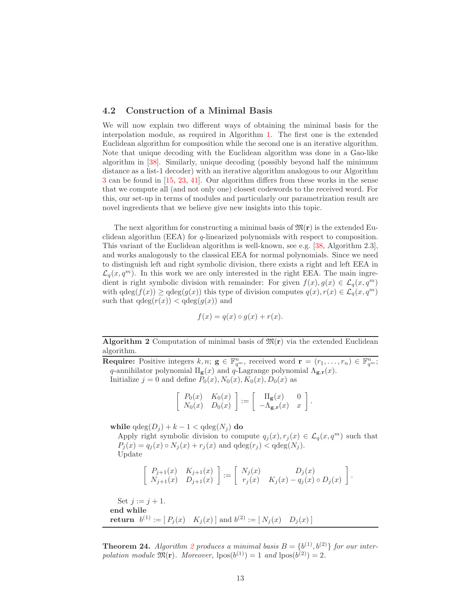#### 4.2 Construction of a Minimal Basis

We will now explain two different ways of obtaining the minimal basis for the interpolation module, as required in Algorithm [1.](#page-10-0) The first one is the extended Euclidean algorithm for composition while the second one is an iterative algorithm. Note that unique decoding with the Euclidean algorithm was done in a Gao-like algorithm in [\[38\]](#page-25-2). Similarly, unique decoding (possibly beyond half the minimum distance as a list-1 decoder) with an iterative algorithm analogous to our Algorithm [3](#page-16-0) can be found in [\[15,](#page-23-0) [23,](#page-24-4) [41\]](#page-25-4). Our algorithm differs from these works in the sense that we compute all (and not only one) closest codewords to the received word. For this, our set-up in terms of modules and particularly our parametrization result are novel ingredients that we believe give new insights into this topic.

The next algorithm for constructing a minimal basis of  $\mathfrak{M}(r)$  is the extended Euclidean algorithm (EEA) for q-linearized polynomials with respect to composition. This variant of the Euclidean algorithm is well-known, see e.g. [\[38,](#page-25-2) Algorithm 2.3], and works analogously to the classical EEA for normal polynomials. Since we need to distinguish left and right symbolic division, there exists a right and left EEA in  $\mathcal{L}_q(x, q^m)$ . In this work we are only interested in the right EEA. The main ingredient is right symbolic division with remainder: For given  $f(x), g(x) \in \mathcal{L}_q(x, q^m)$ with  $\deg(f(x)) \geq \deg(g(x))$  this type of division computes  $q(x), r(x) \in \mathcal{L}_q(x, q^m)$ such that  $qdeg(r(x)) < qdeg(g(x))$  and

$$
f(x) = q(x) \circ g(x) + r(x).
$$

Algorithm 2 Computation of minimal basis of  $\mathfrak{M}(\mathbf{r})$  via the extended Euclidean algorithm.

<span id="page-12-0"></span>**Require:** Positive integers  $k, n$ ;  $g \in \mathbb{F}_{q^m}^n$ , received word  $\mathbf{r} = (r_1, \ldots, r_n) \in \mathbb{F}_{q^m}^n$ ; q-annihilator polynomial  $\Pi_{\mathbf{g}}(x)$  and  $q$ -Lagrange polynomial  $\Lambda_{\mathbf{g},\mathbf{r}}(x)$ . Initialize  $j = 0$  and define  $P_0(x)$ ,  $N_0(x)$ ,  $K_0(x)$ ,  $D_0(x)$  as

$$
\left[\begin{array}{cc} P_0(x) & K_0(x) \\ N_0(x) & D_0(x) \end{array}\right] := \left[\begin{array}{cc} \Pi_{\mathbf{g}}(x) & 0 \\ -\Lambda_{\mathbf{g},\mathbf{r}}(x) & x \end{array}\right].
$$

while  $qdeg(D_i) + k - 1 < qdeg(N_i)$  do

Apply right symbolic division to compute  $q_j(x), r_j(x) \in \mathcal{L}_q(x, q^m)$  such that  $P_j(x) = q_j(x) \circ N_j(x) + r_j(x)$  and  $qdeg(r_j) < qdeg(N_j)$ . Update

$$
\left[\begin{array}{cc} P_{j+1}(x) & K_{j+1}(x) \\ N_{j+1}(x) & D_{j+1}(x) \end{array}\right] := \left[\begin{array}{cc} N_j(x) & D_j(x) \\ r_j(x) & K_j(x) - q_j(x) \circ D_j(x) \end{array}\right].
$$

Set  $j := j + 1$ . end while **return**  $b^{(1)} := [P_j(x) \ K_j(x)]$  and  $b^{(2)} := [N_j(x) \ D_j(x)]$ 

**Theorem [2](#page-12-0)4.** Algorithm 2 produces a minimal basis  $B = \{b^{(1)}, b^{(2)}\}$  for our interpolation module  $\mathfrak{M}(\mathbf{r})$ . Moreover,  $\text{pos}(b^{(1)}) = 1$  and  $\text{pos}(b^{(2)}) = 2$ .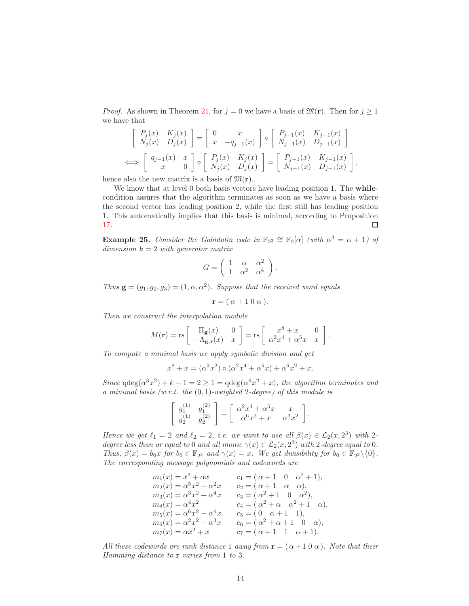*Proof.* As shown in Theorem [21,](#page-9-0) for  $j = 0$  we have a basis of  $\mathfrak{M}(\mathbf{r})$ . Then for  $j \geq 1$ we have that

$$
\begin{bmatrix}\nP_j(x) & K_j(x) \\
N_j(x) & D_j(x)\n\end{bmatrix} =\n\begin{bmatrix}\n0 & x \\
x & -q_{j-1}(x)\n\end{bmatrix}\n\circ\n\begin{bmatrix}\nP_{j-1}(x) & K_{j-1}(x) \\
N_{j-1}(x) & D_{j-1}(x)\n\end{bmatrix}
$$
\n
$$
\iff\n\begin{bmatrix}\nq_{j-1}(x) & x \\
x & 0\n\end{bmatrix}\n\circ\n\begin{bmatrix}\nP_j(x) & K_j(x) \\
N_j(x) & D_j(x)\n\end{bmatrix} =\n\begin{bmatrix}\nP_{j-1}(x) & K_{j-1}(x) \\
N_{j-1}(x) & D_{j-1}(x)\n\end{bmatrix},
$$

hence also the new matrix is a basis of  $\mathfrak{M}(\mathbf{r})$ .

We know that at level 0 both basis vectors have leading position 1. The **while**condition assures that the algorithm terminates as soon as we have a basis where the second vector has leading position 2, while the first still has leading position 1. This automatically implies that this basis is minimal, according to Proposition [17.](#page-7-0)  $\Box$ 

<span id="page-13-0"></span>**Example 25.** Consider the Gabidulin code in  $\mathbb{F}_{2^3} \cong \mathbb{F}_2[\alpha]$  (with  $\alpha^3 = \alpha + 1$ ) of dimension  $k = 2$  with generator matrix

$$
G = \left( \begin{array}{ccc} 1 & \alpha & \alpha^2 \\ 1 & \alpha^2 & \alpha^4 \end{array} \right).
$$

Thus  $\mathbf{g} = (g_1, g_2, g_3) = (1, \alpha, \alpha^2)$ . Suppose that the received word equals

$$
\mathbf{r} = (\alpha + 1 \ 0 \ \alpha).
$$

Then we construct the interpolation module

$$
M(\mathbf{r}) = \text{rs} \left[ \begin{array}{cc} \Pi_{\mathbf{g}}(x) & 0 \\ -\Lambda_{\mathbf{g},\mathbf{r}}(x) & x \end{array} \right] = \text{rs} \left[ \begin{array}{cc} x^8 + x & 0 \\ \alpha^2 x^4 + \alpha^5 x & x \end{array} \right].
$$

To compute a minimal basis we apply symbolic division and get

$$
x^{8} + x = (\alpha^{3} x^{2}) \circ (\alpha^{2} x^{4} + \alpha^{5} x) + \alpha^{6} x^{2} + x.
$$

Since  $qdeg(\alpha^3 x^2) + k - 1 = 2 \ge 1 = qdeg(\alpha^6 x^2 + x)$ , the algorithm terminates and a minimal basis (w.r.t. the  $(0, 1)$ -weighted 2-degree) of this module is

$$
\begin{bmatrix} g_1^{(1)} & g_1^{(2)} \\ g_2^{(1)} & g_2^{(2)} \end{bmatrix} = \begin{bmatrix} \alpha^2 x^4 + \alpha^5 x & x \\ \alpha^6 x^2 + x & \alpha^3 x^2 \end{bmatrix}.
$$

Hence we get  $\ell_1 = 2$  and  $\ell_2 = 2$ , i.e. we want to use all  $\beta(x) \in \mathcal{L}_2(x, 2^3)$  with 2degree less than or equal to 0 and all monic  $\gamma(x) \in \mathcal{L}_2(x, 2^3)$  with 2-degree equal to 0. Thus,  $\beta(x) = b_0 x$  for  $b_0 \in \mathbb{F}_{2^3}$  and  $\gamma(x) = x$ . We get divisibility for  $b_0 \in \mathbb{F}_{2^3} \setminus \{0\}$ . The corresponding message polynomials and codewords are

$$
m_1(x) = x^2 + \alpha x \qquad c_1 = (\alpha + 1 \quad 0 \quad \alpha^2 + 1),
$$
  
\n
$$
m_2(x) = \alpha^5 x^2 + \alpha^2 x \qquad c_2 = (\alpha + 1 \quad \alpha \quad \alpha),
$$
  
\n
$$
m_3(x) = \alpha^3 x^2 + \alpha^4 x \qquad c_3 = (\alpha^2 + 1 \quad 0 \quad \alpha^2),
$$
  
\n
$$
m_4(x) = \alpha^4 x^2 \qquad c_4 = (\alpha^2 + \alpha \quad \alpha^2 + 1 \quad \alpha),
$$
  
\n
$$
m_5(x) = \alpha^6 x^2 + \alpha^6 x \qquad c_5 = (0 \quad \alpha + 1 \quad 1),
$$
  
\n
$$
m_6(x) = \alpha^2 x^2 + \alpha^3 x \qquad c_6 = (\alpha^2 + \alpha + 1 \quad 0 \quad \alpha),
$$
  
\n
$$
m_7(x) = \alpha x^2 + x \qquad c_7 = (\alpha + 1 \quad 1 \quad \alpha + 1).
$$

All these codewords are rank distance 1 away from  $\mathbf{r} = (\alpha + 1 \ 0 \ \alpha)$ . Note that their Hamming distance to **r** varies from 1 to 3.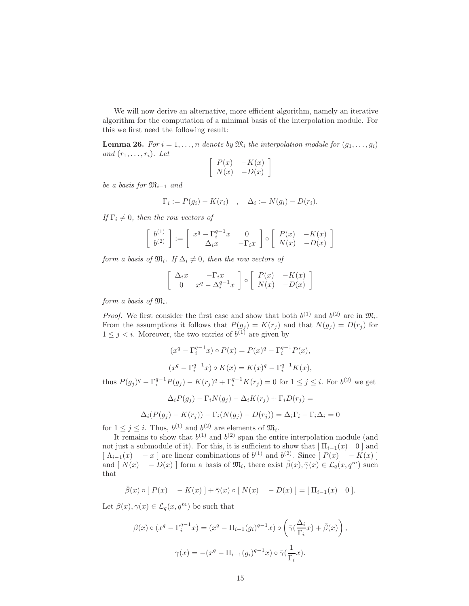We will now derive an alternative, more efficient algorithm, namely an iterative algorithm for the computation of a minimal basis of the interpolation module. For this we first need the following result:

<span id="page-14-0"></span>**Lemma 26.** For  $i = 1, \ldots, n$  denote by  $\mathfrak{M}_i$  the interpolation module for  $(g_1, \ldots, g_i)$ and  $(r_1, \ldots, r_i)$ . Let

$$
\left[\begin{array}{cc} P(x) & -K(x) \\ N(x) & -D(x) \end{array}\right]
$$

be a basis for  $\mathfrak{M}_{i-1}$  and

$$
\Gamma_i := P(g_i) - K(r_i) \quad , \quad \Delta_i := N(g_i) - D(r_i).
$$

If  $\Gamma_i \neq 0$ , then the row vectors of

$$
\begin{bmatrix} b^{(1)} \\ b^{(2)} \end{bmatrix} := \begin{bmatrix} x^q - \Gamma_i^{q-1} x & 0 \\ \Delta_i x & -\Gamma_i x \end{bmatrix} \circ \begin{bmatrix} P(x) & -K(x) \\ N(x) & -D(x) \end{bmatrix}
$$

form a basis of  $\mathfrak{M}_i$ . If  $\Delta_i \neq 0$ , then the row vectors of

$$
\left[\begin{array}{cc} \Delta_i x & -\Gamma_i x \\ 0 & x^q - \Delta_i^{q-1} x \end{array}\right] \circ \left[\begin{array}{cc} P(x) & -K(x) \\ N(x) & -D(x) \end{array}\right]
$$

form a basis of  $\mathfrak{M}_i$ .

*Proof.* We first consider the first case and show that both  $b^{(1)}$  and  $b^{(2)}$  are in  $\mathfrak{M}_i$ . From the assumptions it follows that  $P(g_j) = K(r_j)$  and that  $N(g_j) = D(r_j)$  for  $1 \leq j \leq i$ . Moreover, the two entries of  $b^{(1)}$  are given by

$$
(x^{q} - \Gamma_{i}^{q-1}x) \circ P(x) = P(x)^{q} - \Gamma_{i}^{q-1}P(x),
$$

$$
(x^{q} - \Gamma_{i}^{q-1}x) \circ K(x) = K(x)^{q} - \Gamma_{i}^{q-1}K(x),
$$

thus  $P(g_j)^q - \Gamma_i^{q-1} P(g_j) - K(r_j)^q + \Gamma_i^{q-1} K(r_j) = 0$  for  $1 \le j \le i$ . For  $b^{(2)}$  we get

$$
\Delta_i P(g_j) - \Gamma_i N(g_j) - \Delta_i K(r_j) + \Gamma_i D(r_j) =
$$
  

$$
\Delta_i (P(g_j) - K(r_j)) - \Gamma_i (N(g_j) - D(r_j)) = \Delta_i \Gamma_i - \Gamma_i \Delta_i = 0
$$

for  $1 \leq j \leq i$ . Thus,  $b^{(1)}$  and  $b^{(2)}$  are elements of  $\mathfrak{M}_i$ .

It remains to show that  $b^{(1)}$  and  $b^{(2)}$  span the entire interpolation module (and not just a submodule of it). For this, it is sufficient to show that  $[\Pi_{i-1}(x) \quad 0]$  and  $\left[\begin{array}{cc} \Lambda_{i-1}(x) & -x \end{array}\right]$  are linear combinations of  $b^{(1)}$  and  $b^{(2)}$ . Since  $\left[\begin{array}{cc} P(x) & -K(x) \end{array}\right]$ and  $[N(x) - D(x)]$  form a basis of  $\mathfrak{M}_i$ , there exist  $\bar{\beta}(x), \bar{\gamma}(x) \in \mathcal{L}_q(x, q^m)$  such that

$$
\bar{\beta}(x) \circ [P(x) - K(x)] + \bar{\gamma}(x) \circ [N(x) - D(x)] = [\Pi_{i-1}(x) \quad 0].
$$

Let  $\beta(x), \gamma(x) \in \mathcal{L}_q(x, q^m)$  be such that

$$
\beta(x) \circ (x^q - \Gamma_i^{q-1} x) = (x^q - \Pi_{i-1}(g_i)^{q-1} x) \circ \left(\bar{\gamma}(\frac{\Delta_i}{\Gamma_i} x) + \bar{\beta}(x)\right),
$$

$$
\gamma(x) = -(x^q - \Pi_{i-1}(g_i)^{q-1} x) \circ \bar{\gamma}(\frac{1}{\Gamma_i} x).
$$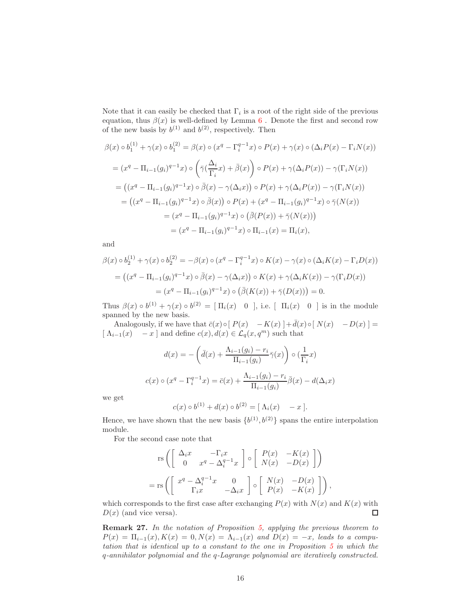Note that it can easily be checked that  $\Gamma_i$  is a root of the right side of the previous equation, thus  $\beta(x)$  is well-defined by Lemma [6](#page-4-1). Denote the first and second row of the new basis by  $b^{(1)}$  and  $b^{(2)}$ , respectively. Then

$$
\beta(x) \circ b_1^{(1)} + \gamma(x) \circ b_1^{(2)} = \beta(x) \circ (x^q - \Gamma_i^{q-1}x) \circ P(x) + \gamma(x) \circ (\Delta_i P(x) - \Gamma_i N(x))
$$
  
\n
$$
= (x^q - \Pi_{i-1}(g_i)^{q-1}x) \circ \left(\bar{\gamma}(\frac{\Delta_i}{\Gamma_i}x) + \bar{\beta}(x)\right) \circ P(x) + \gamma(\Delta_i P(x)) - \gamma(\Gamma_i N(x))
$$
  
\n
$$
= ((x^q - \Pi_{i-1}(g_i)^{q-1}x) \circ \bar{\beta}(x) - \gamma(\Delta_i x)) \circ P(x) + \gamma(\Delta_i P(x)) - \gamma(\Gamma_i N(x))
$$
  
\n
$$
= ((x^q - \Pi_{i-1}(g_i)^{q-1}x) \circ \bar{\beta}(x)) \circ P(x) + (x^q - \Pi_{i-1}(g_i)^{q-1}x) \circ \bar{\gamma}(N(x))
$$
  
\n
$$
= (x^q - \Pi_{i-1}(g_i)^{q-1}x) \circ (\bar{\beta}(P(x)) + \bar{\gamma}(N(x)))
$$
  
\n
$$
= (x^q - \Pi_{i-1}(g_i)^{q-1}x) \circ \Pi_{i-1}(x) = \Pi_i(x),
$$

and

$$
\beta(x) \circ b_2^{(1)} + \gamma(x) \circ b_2^{(2)} = -\beta(x) \circ (x^q - \Gamma_i^{q-1} x) \circ K(x) - \gamma(x) \circ (\Delta_i K(x) - \Gamma_i D(x))
$$
  
= 
$$
((x^q - \Pi_{i-1}(g_i)^{q-1} x) \circ \bar{\beta}(x) - \gamma(\Delta_i x)) \circ K(x) + \gamma(\Delta_i K(x)) - \gamma(\Gamma_i D(x))
$$
  
= 
$$
(x^q - \Pi_{i-1}(g_i)^{q-1} x) \circ (\bar{\beta}(K(x)) + \bar{\gamma}(D(x))) = 0.
$$

Thus  $\beta(x) \circ b^{(1)} + \gamma(x) \circ b^{(2)} = [\Pi_i(x) \quad 0],$  i.e.  $[\Pi_i(x) \quad 0]$  is in the module spanned by the new basis.

Analogously, if we have that  $\bar{c}(x) \circ [P(x) - K(x)] + \bar{d}(x) \circ [N(x) - D(x)] =$  $[\Lambda_{i-1}(x) - x]$  and define  $c(x), d(x) \in \mathcal{L}_q(x, q^m)$  such that

$$
d(x) = -\left(\bar{d}(x) + \frac{\Lambda_{i-1}(g_i) - r_i}{\Pi_{i-1}(g_i)}\bar{\gamma}(x)\right) \circ \left(\frac{1}{\Gamma_i}x\right)
$$

$$
c(x) \circ (x^q - \Gamma_i^{q-1}x) = \bar{c}(x) + \frac{\Lambda_{i-1}(g_i) - r_i}{\Pi_{i-1}(g_i)}\bar{\beta}(x) - d(\Delta_i x)
$$

we get

$$
c(x) \circ b^{(1)} + d(x) \circ b^{(2)} = [\Lambda_i(x) - x].
$$

Hence, we have shown that the new basis  ${b^{(1)}, b^{(2)}}$  spans the entire interpolation module.

For the second case note that

$$
\begin{aligned}\n\operatorname{rs}\left(\begin{bmatrix}\n\Delta_i x & -\Gamma_i x \\
0 & x^q - \Delta_i^{q-1} x\n\end{bmatrix} \circ \begin{bmatrix}\nP(x) & -K(x) \\
N(x) & -D(x)\n\end{bmatrix}\right) \\
= \operatorname{rs}\left(\begin{bmatrix}\nx^q - \Delta_i^{q-1} x & 0 \\
\Gamma_i x & -\Delta_i x\n\end{bmatrix} \circ \begin{bmatrix}\nN(x) & -D(x) \\
P(x) & -K(x)\n\end{bmatrix}\right),\n\end{aligned}
$$

which corresponds to the first case after exchanging  $P(x)$  with  $N(x)$  and  $K(x)$  with  $D(x)$  (and vice versa).  $\Box$ 

Remark 27. In the notation of Proposition [5,](#page-3-0) applying the previous theorem to  $P(x) = \Pi_{i-1}(x), K(x) = 0, N(x) = \Lambda_{i-1}(x)$  and  $D(x) = -x$ , leads to a computation that is identical up to a constant to the one in Proposition [5](#page-3-0) in which the q-annihilator polynomial and the q-Lagrange polynomial are iteratively constructed.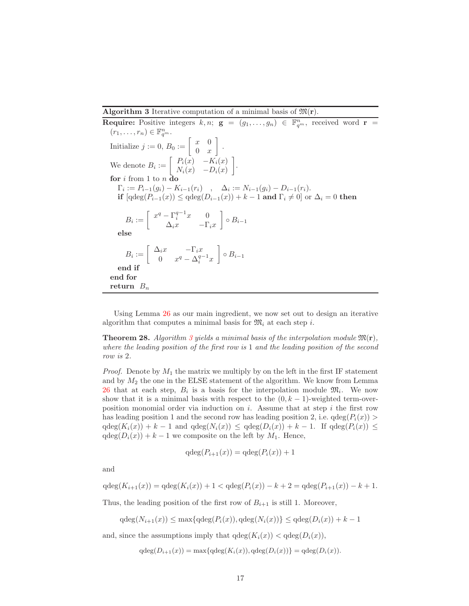<span id="page-16-0"></span>Algorithm 3 Iterative computation of a minimal basis of  $\mathfrak{M}(r)$ .

**Require:** Positive integers  $k, n$ ;  $g = (g_1, \ldots, g_n) \in \mathbb{F}_{q^m}^n$ , received word  $r =$  $(r_1,\ldots,r_n)\in \mathbb{F}_{q^m}^n$ . Initialize  $j := 0, B_0 := \begin{bmatrix} x & 0 \\ 0 & x \end{bmatrix}$  $0 \quad x$  . We denote  $B_i := \begin{bmatrix} P_i(x) & -K_i(x) \\ N_i(x) & D_i(x) \end{bmatrix}$  $N_i(x)$  −  $D_i(x)$  . for i from 1 to  $n \,$ **d**c  $\Gamma_i := P_{i-1}(g_i) - K_{i-1}(r_i)$ ,  $\Delta_i := N_{i-1}(g_i) - D_{i-1}(r_i)$ . if  $[\text{qdeg}(P_{i-1}(x)) \leq \text{qdeg}(D_{i-1}(x)) + k - 1$  and  $\Gamma_i \neq 0]$  or  $\Delta_i = 0$  then  $B_i := \begin{bmatrix} x^q - \Gamma_i^{q-1} x & 0 \\ \Delta x & \Gamma_i \end{bmatrix}$  $\Delta_i x$  −Γ<sub>i</sub>x  $\Big\} \circ B_{i-1}$ else  $B_i := \left[ \begin{array}{cc} \Delta_i x & -\Gamma_i x \\ 0 & x^q & \Delta_i^q \end{array} \right]$ 0  $x^q - \Delta_i^{q-1}x$  $\Big\} \circ B_{i-1}$ end if end for return  $B_n$ 

Using Lemma [26](#page-14-0) as our main ingredient, we now set out to design an iterative algorithm that computes a minimal basis for  $\mathfrak{M}_i$  at each step *i*.

**Theorem 28.** Algorithm [3](#page-16-0) yields a minimal basis of the interpolation module  $\mathfrak{M}(\mathbf{r})$ , where the leading position of the first row is 1 and the leading position of the second row is 2.

*Proof.* Denote by  $M_1$  the matrix we multiply by on the left in the first IF statement and by  $M_2$  the one in the ELSE statement of the algorithm. We know from Lemma [26](#page-14-0) that at each step,  $B_i$  is a basis for the interpolation module  $\mathfrak{M}_i$ . We now show that it is a minimal basis with respect to the  $(0, k - 1)$ -weighted term-overposition monomial order via induction on  $i$ . Assume that at step  $i$  the first row has leading position 1 and the second row has leading position 2, i.e.  $qdeg(P_i(x))$  $qdeg(K_i(x)) + k - 1$  and  $qdeg(N_i(x)) \leq qdeg(D_i(x)) + k - 1$ . If  $qdeg(P_i(x)) \leq$  $qdeg(D_i(x)) + k - 1$  we composite on the left by  $M_1$ . Hence,

$$
qdeg(P_{i+1}(x)) = qdeg(P_i(x)) + 1
$$

and

$$
qdeg(K_{i+1}(x)) = qdeg(K_i(x)) + 1 < qdeg(P_i(x)) - k + 2 = qdeg(P_{i+1}(x)) - k + 1.
$$

Thus, the leading position of the first row of  $B_{i+1}$  is still 1. Moreover,

$$
qdeg(N_{i+1}(x)) \le \max\{qdeg(P_i(x)), qdeg(N_i(x))\} \le qdeg(D_i(x)) + k - 1
$$

and, since the assumptions imply that  $qdeg(K_i(x)) < qdeg(D_i(x))$ ,

$$
qdeg(D_{i+1}(x)) = \max\{qdeg(K_i(x)), qdeg(D_i(x))\} = qdeg(D_i(x)).
$$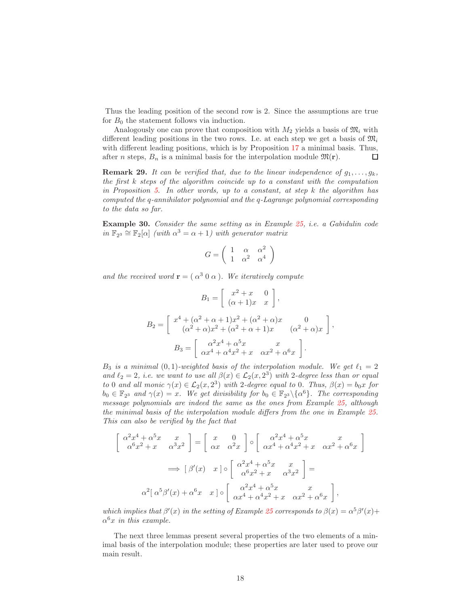Thus the leading position of the second row is 2. Since the assumptions are true for  $B_0$  the statement follows via induction.

Analogously one can prove that composition with  $M_2$  yields a basis of  $\mathfrak{M}_i$  with different leading positions in the two rows. I.e. at each step we get a basis of  $\mathfrak{M}_i$ with different leading positions, which is by Proposition [17](#page-7-0) a minimal basis. Thus, after *n* steps,  $B_n$  is a minimal basis for the interpolation module  $\mathfrak{M}(\mathbf{r})$ .  $\Box$ 

**Remark 29.** It can be verified that, due to the linear independence of  $g_1, \ldots, g_k$ , the first k steps of the algorithm coincide up to a constant with the computation in Proposition [5.](#page-3-0) In other words, up to a constant, at step  $k$  the algorithm has computed the q-annihilator polynomial and the q-Lagrange polynomial corresponding to the data so far.

Example 30. Consider the same setting as in Example [25,](#page-13-0) i.e. a Gabidulin code in  $\mathbb{F}_{2^3} \cong \mathbb{F}_2[\alpha]$  (with  $\alpha^3 = \alpha + 1$ ) with generator matrix

$$
G = \left( \begin{array}{ccc} 1 & \alpha & \alpha^2 \\ 1 & \alpha^2 & \alpha^4 \end{array} \right)
$$

and the received word  $\mathbf{r} = (\alpha^3 \ 0 \ \alpha)$ . We iteratively compute

$$
B_1 = \begin{bmatrix} x^2 + x & 0 \\ (\alpha + 1)x & x \end{bmatrix},
$$
  
\n
$$
B_2 = \begin{bmatrix} x^4 + (\alpha^2 + \alpha + 1)x^2 + (\alpha^2 + \alpha)x & 0 \\ (\alpha^2 + \alpha)x^2 + (\alpha^2 + \alpha + 1)x & (\alpha^2 + \alpha)x \end{bmatrix},
$$
  
\n
$$
B_3 = \begin{bmatrix} \alpha^2 x^4 + \alpha^5 x & x \\ \alpha x^4 + \alpha^4 x^2 + x & \alpha x^2 + \alpha^6 x \end{bmatrix}.
$$

 $B_3$  is a minimal  $(0, 1)$ -weighted basis of the interpolation module. We get  $\ell_1 = 2$ and  $\ell_2 = 2$ , i.e. we want to use all  $\beta(x) \in \mathcal{L}_2(x, 2^3)$  with 2-degree less than or equal to 0 and all monic  $\gamma(x) \in \mathcal{L}_2(x, 2^3)$  with 2-degree equal to 0. Thus,  $\beta(x) = b_0 x$  for  $b_0 \in \mathbb{F}_{2^3}$  and  $\gamma(x) = x$ . We get divisibility for  $b_0 \in \mathbb{F}_{2^3} \setminus {\alpha^6}$ . The corresponding message polynomials are indeed the same as the ones from Example [25,](#page-13-0) although the minimal basis of the interpolation module differs from the one in Example [25.](#page-13-0) This can also be verified by the fact that

$$
\begin{bmatrix}\n\alpha^2 x^4 + \alpha^5 x & x \\
\alpha^6 x^2 + x & \alpha^3 x^2\n\end{bmatrix} = \begin{bmatrix}\nx & 0 \\
\alpha x & \alpha^2 x\n\end{bmatrix} \circ \begin{bmatrix}\n\alpha^2 x^4 + \alpha^5 x & x \\
\alpha x^4 + \alpha^4 x^2 + x & \alpha x^2 + \alpha^6 x\n\end{bmatrix}
$$
\n
$$
\implies [\beta'(x) \quad x] \circ \begin{bmatrix}\n\alpha^2 x^4 + \alpha^5 x & x \\
\alpha^6 x^2 + x & \alpha^3 x^2\n\end{bmatrix} =
$$
\n
$$
\alpha^2 [\alpha^5 \beta'(x) + \alpha^6 x & x] \circ \begin{bmatrix}\n\alpha^2 x^4 + \alpha^5 x & x \\
\alpha x^4 + \alpha^4 x^2 + x & \alpha x^2 + \alpha^6 x\n\end{bmatrix},
$$

which implies that  $\beta'(x)$  in the setting of Example [25](#page-13-0) corresponds to  $\beta(x) = \alpha^5 \beta'(x) +$  $\alpha^6 x$  in this example.

The next three lemmas present several properties of the two elements of a minimal basis of the interpolation module; these properties are later used to prove our main result.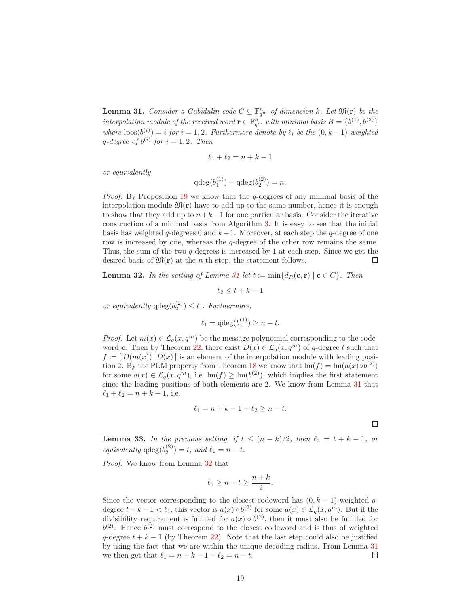<span id="page-18-0"></span>**Lemma 31.** Consider a Gabidulin code  $C \subseteq \mathbb{F}_{q^m}^n$  of dimension k. Let  $\mathfrak{M}(\mathbf{r})$  be the interpolation module of the received word  $\mathbf{r} \in \mathbb{F}_{q^m}^n$  with minimal basis  $B = \{b^{(1)}, b^{(2)}\}$ where  $\text{pos}(b^{(i)}) = i$  for  $i = 1, 2$ . Furthermore denote by  $\ell_i$  be the  $(0, k-1)$ -weighted q-degree of  $b^{(i)}$  for  $i = 1, 2$ . Then

$$
\ell_1 + \ell_2 = n + k - 1
$$

or equivalently

$$
q \deg(b_1^{(1)}) + q \deg(b_2^{(2)}) = n.
$$

*Proof.* By Proposition [19](#page-8-1) we know that the  $q$ -degrees of any minimal basis of the interpolation module  $\mathfrak{M}(\mathbf{r})$  have to add up to the same number, hence it is enough to show that they add up to  $n+k-1$  for one particular basis. Consider the iterative construction of a minimal basis from Algorithm [3.](#page-16-0) It is easy to see that the initial basis has weighted q-degrees 0 and  $k-1$ . Moreover, at each step the q-degree of one row is increased by one, whereas the q-degree of the other row remains the same. Thus, the sum of the two q-degrees is increased by 1 at each step. Since we get the desired basis of  $\mathfrak{M}(\mathbf{r})$  at the *n*-th step, the statement follows.  $\Box$ 

<span id="page-18-1"></span>**Lemma 32.** In the setting of Lemma [31](#page-18-0) let  $t := min\{d_R(c, r) | c \in C\}$ . Then

$$
\ell_2 \le t + k - 1
$$

or equivalently  $q \deg(b_2^{(2)}) \leq t$ . Furthermore,

$$
\ell_1 = \mathrm{qdeg}(b_1^{(1)}) \ge n - t.
$$

*Proof.* Let  $m(x) \in \mathcal{L}_q(x, q^m)$  be the message polynomial corresponding to the code-word c. Then by Theorem [22,](#page-9-1) there exist  $D(x) \in \mathcal{L}_q(x, q^m)$  of q-degree t such that  $f := [D(m(x)) D(x)]$  is an element of the interpolation module with leading posi-tion 2. By the PLM property from Theorem [18](#page-7-1) we know that  $\text{Im}(f) = \text{Im}(a(x) \circ b^{(2)})$ for some  $a(x) \in \mathcal{L}_q(x, q^m)$ , i.e.  $\text{Im}(f) \ge \text{Im}(b^{(2)})$ , which implies the first statement since the leading positions of both elements are 2. We know from Lemma [31](#page-18-0) that  $\ell_1 + \ell_2 = n + k - 1$ , i.e.

$$
\ell_1 = n + k - 1 - \ell_2 \ge n - t.
$$

 $\Box$ 

**Lemma 33.** In the previous setting, if  $t \leq (n-k)/2$ , then  $\ell_2 = t + k - 1$ , or equivalently  $q \deg(b_2^{(2)}) = t$ , and  $\ell_1 = n - t$ .

Proof. We know from Lemma [32](#page-18-1) that

$$
\ell_1 \ge n - t \ge \frac{n+k}{2}.
$$

Since the vector corresponding to the closest codeword has  $(0, k - 1)$ -weighted qdegree  $t + k - 1 < \ell_1$ , this vector is  $a(x) \circ b^{(2)}$  for some  $a(x) \in \mathcal{L}_q(x, q^m)$ . But if the divisibility requirement is fulfilled for  $a(x) \circ b^{(2)}$ , then it must also be fulfilled for  $b^{(2)}$ . Hence  $b^{(2)}$  must correspond to the closest codeword and is thus of weighted q-degree  $t + k - 1$  (by Theorem [22\)](#page-9-1). Note that the last step could also be justified by using the fact that we are within the unique decoding radius. From Lemma [31](#page-18-0) we then get that  $\ell_1 = n + k - 1 - \ell_2 = n - t$ .  $\Box$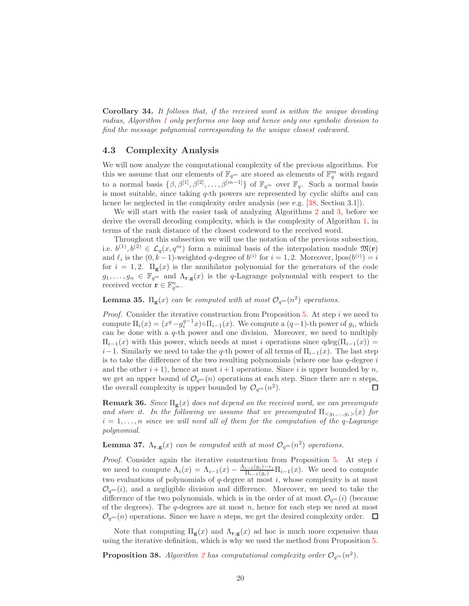<span id="page-19-0"></span>Corollary 34. It follows that, if the received word is within the unique decoding radius, Algorithm [1](#page-10-0) only performs one loop and hence only one symbolic division to find the message polynomial corresponding to the unique closest codeword.

#### 4.3 Complexity Analysis

We will now analyze the computational complexity of the previous algorithms. For this we assume that our elements of  $\mathbb{F}_{q^m}$  are stored as elements of  $\mathbb{F}_q^m$  with regard to a normal basis  $\{\beta, \beta^{[1]}, \beta^{[2]}, \ldots, \beta^{[m-1]}\}\$  of  $\mathbb{F}_{q^m}$  over  $\mathbb{F}_q$ . Such a normal basis is most suitable, since taking q-th powers are represented by cyclic shifts and can hence be neglected in the complexity order analysis (see e.g. [\[38,](#page-25-2) Section 3.1]).

We will start with the easier task of analyzing Algorithms [2](#page-12-0) and [3,](#page-16-0) before we derive the overall decoding complexity, which is the complexity of Algorithm [1,](#page-10-0) in terms of the rank distance of the closest codeword to the received word.

Throughout this subsection we will use the notation of the previous subsection, i.e.  $b^{(1)}, b^{(2)} \in \mathcal{L}_q(x, q^m)$  form a minimal basis of the interpolation module  $\mathfrak{M}(\mathbf{r})$ and  $\ell_i$  is the  $(0, k-1)$ -weighted q-degree of  $b^{(i)}$  for  $i = 1, 2$ . Moreover,  $\text{lpos}(b^{(i)}) = i$ for  $i = 1, 2$ .  $\Pi_{\mathbf{g}}(x)$  is the annihilator polynomial for the generators of the code  $g_1, \ldots, g_n \in \mathbb{F}_{q^m}$  and  $\Lambda_{\mathbf{r},\mathbf{g}}(x)$  is the q-Lagrange polynomial with respect to the received vector  $\mathbf{r} \in \mathbb{F}_{q^m}^n$ .

**Lemma 35.**  $\Pi_{\mathbf{g}}(x)$  can be computed with at most  $\mathcal{O}_{q^m}(n^2)$  operations.

*Proof.* Consider the iterative construction from Proposition  $5$ . At step  $i$  we need to compute  $\Pi_i(x) = (x^q - g_i^{q-1}x) \circ \Pi_{i-1}(x)$ . We compute a  $(q-1)$ -th power of  $g_i$ , which can be done with a  $q$ -th power and one division. Moreover, we need to multiply  $\Pi_{i-1}(x)$  with this power, which needs at most i operations since  $qdeg(\Pi_{i-1}(x)) =$  $i-1$ . Similarly we need to take the q-th power of all terms of  $\Pi_{i-1}(x)$ . The last step is to take the difference of the two resulting polynomials (where one has  $q$ -degree  $i$ and the other  $i+1$ ), hence at most  $i+1$  operations. Since i is upper bounded by n, we get an upper bound of  $\mathcal{O}_{q^m}(n)$  operations at each step. Since there are *n* steps, the overall complexity is upper bounded by  $\mathcal{O}_{q^m}(n^2)$ . the overall complexity is upper bounded by  $\mathcal{O}_{q^m}(n^2)$ .

**Remark 36.** Since  $\Pi_{\mathbf{g}}(x)$  does not depend on the received word, we can precompute and store it. In the following we assume that we precomputed  $\Pi_{\leq q_1,\dots,q_i}(x)$  for  $i = 1, \ldots, n$  since we will need all of them for the computation of the q-Lagrange polynomial.

**Lemma 37.**  $\Lambda_{\mathbf{r},\mathbf{g}}(x)$  can be computed with at most  $\mathcal{O}_{q^m}(n^2)$  operations.

Proof. Consider again the iterative construction from Proposition [5.](#page-3-0) At step i we need to compute  $\Lambda_i(x) = \Lambda_{i-1}(x) - \frac{\Lambda_{i-1}(g_i) - r_i}{\Pi_{i-1}(g_i)} \Pi_{i-1}(x)$ . We need to compute two evaluations of polynomials of  $q$ -degree at most  $i$ , whose complexity is at most  $\mathcal{O}_{q^m}(i)$ , and a negligible division and difference. Moreover, we need to take the difference of the two polynomials, which is in the order of at most  $\mathcal{O}_{q^m}(i)$  (because of the degrees). The  $q$ -degrees are at most  $n$ , hence for each step we need at most  $\mathcal{O}_{q^m}(n)$  operations. Since we have n steps, we get the desired complexity order.  $\Box$ 

Note that computing  $\Pi_{\mathbf{g}}(x)$  and  $\Lambda_{\mathbf{r},\mathbf{g}}(x)$  ad hoc is much more expensive than using the iterative definition, which is why we used the method from Proposition [5.](#page-3-0)

**Proposition 38.** Algorithm [2](#page-12-0) has computational complexity order  $\mathcal{O}_{q^m}(n^2)$ .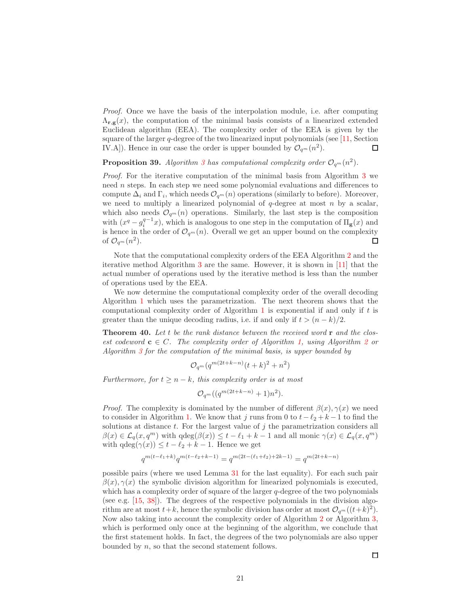Proof. Once we have the basis of the interpolation module, i.e. after computing  $\Lambda_{\mathbf{r},\mathbf{g}}(x)$ , the computation of the minimal basis consists of a linearized extended Euclidean algorithm (EEA). The complexity order of the EEA is given by the square of the larger  $q$ -degree of the two linearized input polynomials (see [\[11,](#page-23-14) Section IV.A]). Hence in our case the order is upper bounded by  $\mathcal{O}_{q^m}(n^2)$ .  $\Box$ 

**Proposition [3](#page-16-0)9.** Algorithm 3 has computational complexity order  $\mathcal{O}_{q^m}(n^2)$ .

Proof. For the iterative computation of the minimal basis from Algorithm [3](#page-16-0) we need n steps. In each step we need some polynomial evaluations and differences to compute  $\Delta_i$  and  $\Gamma_i$ , which needs  $\mathcal{O}_{q^m}(n)$  operations (similarly to before). Moreover, we need to multiply a linearized polynomial of  $q$ -degree at most n by a scalar, which also needs  $\mathcal{O}_{q^m}(n)$  operations. Similarly, the last step is the composition with  $(x^q - g_i^{q-1}x)$ , which is analogous to one step in the computation of  $\Pi_{\mathbf{g}}(x)$  and is hence in the order of  $\mathcal{O}_{q^m}(n)$ . Overall we get an upper bound on the complexity of  $\mathcal{O}_{q^m}(n^2)$ . of  $\mathcal{O}_{q^m}(n^2)$ .

Note that the computational complexity orders of the EEA Algorithm [2](#page-12-0) and the iterative method Algorithm [3](#page-16-0) are the same. However, it is shown in [\[11\]](#page-23-14) that the actual number of operations used by the iterative method is less than the number of operations used by the EEA.

We now determine the computational complexity order of the overall decoding Algorithm [1](#page-10-0) which uses the parametrization. The next theorem shows that the computational complexity order of Algorithm  $1$  is exponential if and only if  $t$  is greater than the unique decoding radius, i.e. if and only if  $t > (n - k)/2$ .

<span id="page-20-0"></span>**Theorem 40.** Let t be the rank distance between the received word  $\bf{r}$  and the closest codeword  $c \in C$ . The complexity order of Algorithm [1,](#page-10-0) using Algorithm [2](#page-12-0) or Algorithm [3](#page-16-0) for the computation of the minimal basis, is upper bounded by

$$
\mathcal{O}_{q^m}(q^{m(2t+k-n)}(t+k)^2 + n^2)
$$

Furthermore, for  $t \geq n - k$ , this complexity order is at most

$$
\mathcal{O}_{q^m}((q^{m(2t+k-n)}+1)n^2).
$$

*Proof.* The complexity is dominated by the number of different  $\beta(x), \gamma(x)$  we need to consider in Algorithm [1.](#page-10-0) We know that j runs from 0 to  $t-\ell_2+k-1$  to find the solutions at distance  $t$ . For the largest value of  $j$  the parametrization considers all  $\beta(x) \in \mathcal{L}_q(x, q^m)$  with  $\deg(\beta(x)) \leq t - \ell_1 + k - 1$  and all monic  $\gamma(x) \in \mathcal{L}_q(x, q^m)$ with  $qdeg(\gamma(x)) \leq t - \ell_2 + k - 1$ . Hence we get

$$
q^{m(t-\ell_1+k)}q^{m(t-\ell_2+k-1)}=q^{m(2t-(\ell_1+\ell_2)+2k-1)}=q^{m(2t+k-n)}
$$

possible pairs (where we used Lemma [31](#page-18-0) for the last equality). For each such pair  $\beta(x), \gamma(x)$  the symbolic division algorithm for linearized polynomials is executed, which has a complexity order of square of the larger q-degree of the two polynomials (see e.g. [\[15,](#page-23-0) [38\]](#page-25-2)). The degrees of the respective polynomials in the division algorithm are at most  $t+k$ , hence the symbolic division has order at most  $\mathcal{O}_{q^m}((t+k)^2)$ . Now also taking into account the complexity order of Algorithm [2](#page-12-0) or Algorithm [3,](#page-16-0) which is performed only once at the beginning of the algorithm, we conclude that the first statement holds. In fact, the degrees of the two polynomials are also upper bounded by n, so that the second statement follows.

 $\Box$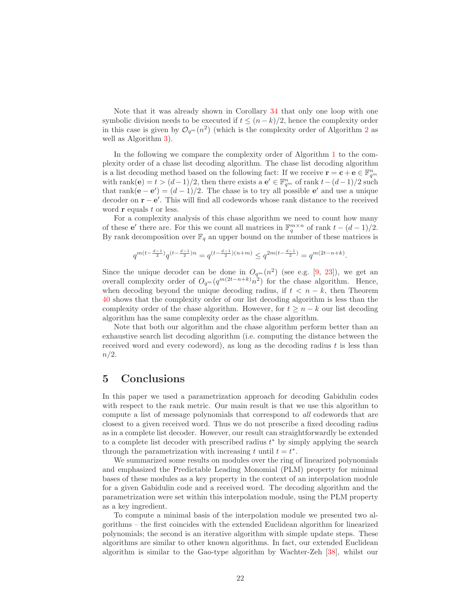Note that it was already shown in Corollary [34](#page-19-0) that only one loop with one symbolic division needs to be executed if  $t \leq (n-k)/2$ , hence the complexity order in this case is given by  $\mathcal{O}_{q^m}(n^2)$  $\mathcal{O}_{q^m}(n^2)$  $\mathcal{O}_{q^m}(n^2)$  (which is the complexity order of Algorithm 2 as well as Algorithm [3\)](#page-16-0).

In the following we compare the complexity order of Algorithm [1](#page-10-0) to the complexity order of a chase list decoding algorithm. The chase list decoding algorithm is a list decoding method based on the following fact: If we receive  $\mathbf{r} = \mathbf{c} + \mathbf{e} \in \mathbb{F}_{q^m}^n$ with rank(e) =  $t > (d-1)/2$ , then there exists a e'  $\in \mathbb{F}_{q^m}^n$  of rank  $t-(d-1)/2$  such that rank $(e - e') = (d - 1)/2$ . The chase is to try all possible e' and use a unique decoder on  $\mathbf{r} - \mathbf{e}'$ . This will find all codewords whose rank distance to the received word  $\bf{r}$  equals  $t$  or less.

For a complexity analysis of this chase algorithm we need to count how many of these **e**' there are. For this we count all matrices in  $\mathbb{F}_q^{m \times n}$  of rank  $t - (d - 1)/2$ . By rank decomposition over  $\mathbb{F}_q$  an upper bound on the number of these matrices is

$$
q^{m(t-\frac{d-1}{2})}q^{(t-\frac{d-1}{2})n}=q^{(t-\frac{d-1}{2})(n+m)}\leq q^{2m(t-\frac{d-1}{2})}=q^{m(2t-n+k)}.
$$

Since the unique decoder can be done in  $O_{q^m}(n^2)$  (see e.g. [\[9,](#page-23-1) [23\]](#page-24-4)), we get an overall complexity order of  $O_{q^m}(q^{m(2t-n+k)}n^2)$  for the chase algorithm. Hence, when decoding beyond the unique decoding radius, if  $t < n - k$ , then Theorem [40](#page-20-0) shows that the complexity order of our list decoding algorithm is less than the complexity order of the chase algorithm. However, for  $t \geq n - k$  our list decoding algorithm has the same complexity order as the chase algorithm.

Note that both our algorithm and the chase algorithm perform better than an exhaustive search list decoding algorithm (i.e. computing the distance between the received word and every codeword), as long as the decoding radius  $t$  is less than  $n/2$ .

## <span id="page-21-0"></span>5 Conclusions

In this paper we used a parametrization approach for decoding Gabidulin codes with respect to the rank metric. Our main result is that we use this algorithm to compute a list of message polynomials that correspond to all codewords that are closest to a given received word. Thus we do not prescribe a fixed decoding radius as in a complete list decoder. However, our result can straightforwardly be extended to a complete list decoder with prescribed radius  $t^*$  by simply applying the search through the parametrization with increasing t until  $t = t^*$ .

We summarized some results on modules over the ring of linearized polynomials and emphasized the Predictable Leading Monomial (PLM) property for minimal bases of these modules as a key property in the context of an interpolation module for a given Gabidulin code and a received word. The decoding algorithm and the parametrization were set within this interpolation module, using the PLM property as a key ingredient.

To compute a minimal basis of the interpolation module we presented two algorithms – the first coincides with the extended Euclidean algorithm for linearized polynomials; the second is an iterative algorithm with simple update steps. These algorithms are similar to other known algorithms. In fact, our extended Euclidean algorithm is similar to the Gao-type algorithm by Wachter-Zeh [\[38\]](#page-25-2), whilst our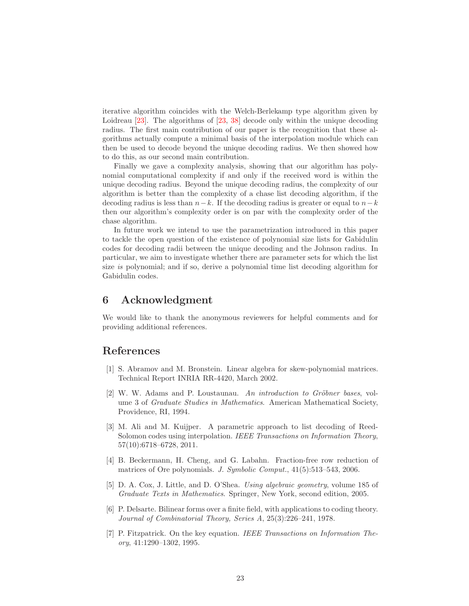iterative algorithm coincides with the Welch-Berlekamp type algorithm given by Loidreau [\[23\]](#page-24-4). The algorithms of [\[23,](#page-24-4) [38\]](#page-25-2) decode only within the unique decoding radius. The first main contribution of our paper is the recognition that these algorithms actually compute a minimal basis of the interpolation module which can then be used to decode beyond the unique decoding radius. We then showed how to do this, as our second main contribution.

Finally we gave a complexity analysis, showing that our algorithm has polynomial computational complexity if and only if the received word is within the unique decoding radius. Beyond the unique decoding radius, the complexity of our algorithm is better than the complexity of a chase list decoding algorithm, if the decoding radius is less than  $n-k$ . If the decoding radius is greater or equal to  $n-k$ then our algorithm's complexity order is on par with the complexity order of the chase algorithm.

In future work we intend to use the parametrization introduced in this paper to tackle the open question of the existence of polynomial size lists for Gabidulin codes for decoding radii between the unique decoding and the Johnson radius. In particular, we aim to investigate whether there are parameter sets for which the list size is polynomial; and if so, derive a polynomial time list decoding algorithm for Gabidulin codes.

## 6 Acknowledgment

We would like to thank the anonymous reviewers for helpful comments and for providing additional references.

## <span id="page-22-5"></span>References

- [1] S. Abramov and M. Bronstein. Linear algebra for skew-polynomial matrices. Technical Report INRIA RR-4420, March 2002.
- <span id="page-22-3"></span>[2] W. W. Adams and P. Loustaunau. An introduction to Gröbner bases, volume 3 of Graduate Studies in Mathematics. American Mathematical Society, Providence, RI, 1994.
- <span id="page-22-1"></span>[3] M. Ali and M. Kuijper. A parametric approach to list decoding of Reed-Solomon codes using interpolation. IEEE Transactions on Information Theory, 57(10):6718–6728, 2011.
- <span id="page-22-6"></span>[4] B. Beckermann, H. Cheng, and G. Labahn. Fraction-free row reduction of matrices of Ore polynomials. J. Symbolic Comput., 41(5):513–543, 2006.
- <span id="page-22-4"></span>[5] D. A. Cox, J. Little, and D. O'Shea. Using algebraic geometry, volume 185 of Graduate Texts in Mathematics. Springer, New York, second edition, 2005.
- <span id="page-22-0"></span>[6] P. Delsarte. Bilinear forms over a finite field, with applications to coding theory. Journal of Combinatorial Theory, Series A, 25(3):226–241, 1978.
- <span id="page-22-2"></span>[7] P. Fitzpatrick. On the key equation. IEEE Transactions on Information Theory, 41:1290–1302, 1995.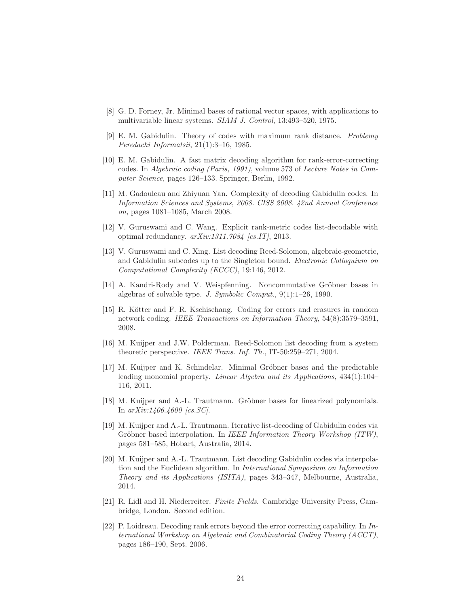- <span id="page-23-12"></span><span id="page-23-1"></span>[8] G. D. Forney, Jr. Minimal bases of rational vector spaces, with applications to multivariable linear systems. SIAM J. Control, 13:493–520, 1975.
- [9] E. M. Gabidulin. Theory of codes with maximum rank distance. Problemy Peredachi Informatsii, 21(1):3–16, 1985.
- <span id="page-23-2"></span>[10] E. M. Gabidulin. A fast matrix decoding algorithm for rank-error-correcting codes. In Algebraic coding (Paris, 1991), volume 573 of Lecture Notes in Computer Science, pages 126–133. Springer, Berlin, 1992.
- <span id="page-23-14"></span>[11] M. Gadouleau and Zhiyuan Yan. Complexity of decoding Gabidulin codes. In Information Sciences and Systems, 2008. CISS 2008. 42nd Annual Conference on, pages 1081–1085, March 2008.
- <span id="page-23-4"></span>[12] V. Guruswami and C. Wang. Explicit rank-metric codes list-decodable with optimal redundancy.  $arXiv:1311.7084$  [cs.IT], 2013.
- <span id="page-23-5"></span>[13] V. Guruswami and C. Xing. List decoding Reed-Solomon, algebraic-geometric, and Gabidulin subcodes up to the Singleton bound. Electronic Colloquium on Computational Complexity (ECCC), 19:146, 2012.
- <span id="page-23-10"></span>[14] A. Kandri-Rody and V. Weispfenning. Noncommutative Gröbner bases in algebras of solvable type. J. Symbolic Comput., 9(1):1–26, 1990.
- <span id="page-23-0"></span>[15] R. Kötter and F. R. Kschischang. Coding for errors and erasures in random network coding. IEEE Transactions on Information Theory, 54(8):3579–3591, 2008.
- <span id="page-23-6"></span>[16] M. Kuijper and J.W. Polderman. Reed-Solomon list decoding from a system theoretic perspective. IEEE Trans. Inf. Th., IT-50:259–271, 2004.
- <span id="page-23-11"></span>[17] M. Kuijper and K. Schindelar. Minimal Gröbner bases and the predictable leading monomial property. *Linear Algebra and its Applications*,  $434(1):104-$ 116, 2011.
- <span id="page-23-13"></span>[18] M. Kuijper and A.-L. Trautmann. Gröbner bases for linearized polynomials. In arXiv:1406.4600 [cs.SC].
- <span id="page-23-7"></span>[19] M. Kuijper and A.-L. Trautmann. Iterative list-decoding of Gabidulin codes via Gröbner based interpolation. In IEEE Information Theory Workshop (ITW), pages 581–585, Hobart, Australia, 2014.
- <span id="page-23-8"></span>[20] M. Kuijper and A.-L. Trautmann. List decoding Gabidulin codes via interpolation and the Euclidean algorithm. In International Symposium on Information Theory and its Applications (ISITA), pages 343–347, Melbourne, Australia, 2014.
- <span id="page-23-9"></span>[21] R. Lidl and H. Niederreiter. Finite Fields. Cambridge University Press, Cambridge, London. Second edition.
- <span id="page-23-3"></span>[22] P. Loidreau. Decoding rank errors beyond the error correcting capability. In  $In$ ternational Workshop on Algebraic and Combinatorial Coding Theory (ACCT), pages 186–190, Sept. 2006.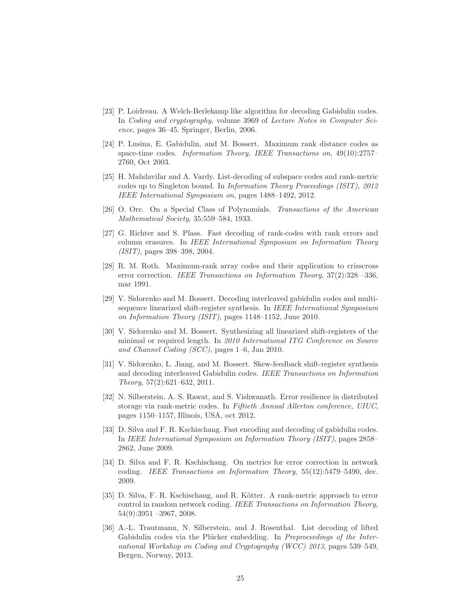- <span id="page-24-4"></span>[23] P. Loidreau. A Welch-Berlekamp like algorithm for decoding Gabidulin codes. In Coding and cryptography, volume 3969 of Lecture Notes in Computer Science, pages 36–45. Springer, Berlin, 2006.
- <span id="page-24-1"></span>[24] P. Lusina, E. Gabidulin, and M. Bossert. Maximum rank distance codes as space-time codes. Information Theory, IEEE Transactions on, 49(10):2757– 2760, Oct 2003.
- <span id="page-24-9"></span>[25] H. Mahdavifar and A. Vardy. List-decoding of subspace codes and rank-metric codes up to Singleton bound. In Information Theory Proceedings (ISIT), 2012 IEEE International Symposium on, pages 1488–1492, 2012.
- <span id="page-24-12"></span><span id="page-24-5"></span>[26] O. Ore. On a Special Class of Polynomials. Transactions of the American Mathematical Society, 35:559–584, 1933.
- [27] G. Richter and S. Plass. Fast decoding of rank-codes with rank errors and column erasures. In IEEE International Symposium on Information Theory (ISIT), pages 398–398, 2004.
- <span id="page-24-2"></span>[28] R. M. Roth. Maximum-rank array codes and their application to crisscross error correction. IEEE Transactions on Information Theory, 37(2):328 –336, mar 1991.
- <span id="page-24-6"></span>[29] V. Sidorenko and M. Bossert. Decoding interleaved gabidulin codes and multisequence linearized shift-register synthesis. In IEEE International Symposium on Information Theory (ISIT), pages 1148–1152, June 2010.
- <span id="page-24-10"></span>[30] V. Sidorenko and M. Bossert. Synthesizing all linearized shift-registers of the minimal or required length. In 2010 International ITG Conference on Source and Channel Coding (SCC), pages 1–6, Jan 2010.
- <span id="page-24-7"></span>[31] V. Sidorenko, L. Jiang, and M. Bossert. Skew-feedback shift-register synthesis and decoding interleaved Gabidulin codes. IEEE Transactions on Information Theory, 57(2):621–632, 2011.
- <span id="page-24-3"></span>[32] N. Silberstein, A. S. Rawat, and S. Vishwanath. Error resilience in distributed storage via rank-metric codes. In Fiftieth Annual Allerton conference, UIUC, pages 1150–1157, Illinois, USA, oct 2012.
- <span id="page-24-8"></span>[33] D. Silva and F. R. Kschischang. Fast encoding and decoding of gabidulin codes. In IEEE International Symposium on Information Theory (ISIT), pages 2858– 2862, June 2009.
- <span id="page-24-13"></span>[34] D. Silva and F. R. Kschischang. On metrics for error correction in network coding. IEEE Transactions on Information Theory, 55(12):5479–5490, dec. 2009.
- <span id="page-24-0"></span>[35] D. Silva, F. R. Kschischang, and R. Kötter. A rank-metric approach to error control in random network coding. IEEE Transactions on Information Theory, 54(9):3951 –3967, 2008.
- <span id="page-24-11"></span>[36] A.-L. Trautmann, N. Silberstein, and J. Rosenthal. List decoding of lifted Gabidulin codes via the Plücker embedding. In Preproceedings of the International Workshop on Coding and Cryptography (WCC) 2013, pages 539–549, Bergen, Norway, 2013.